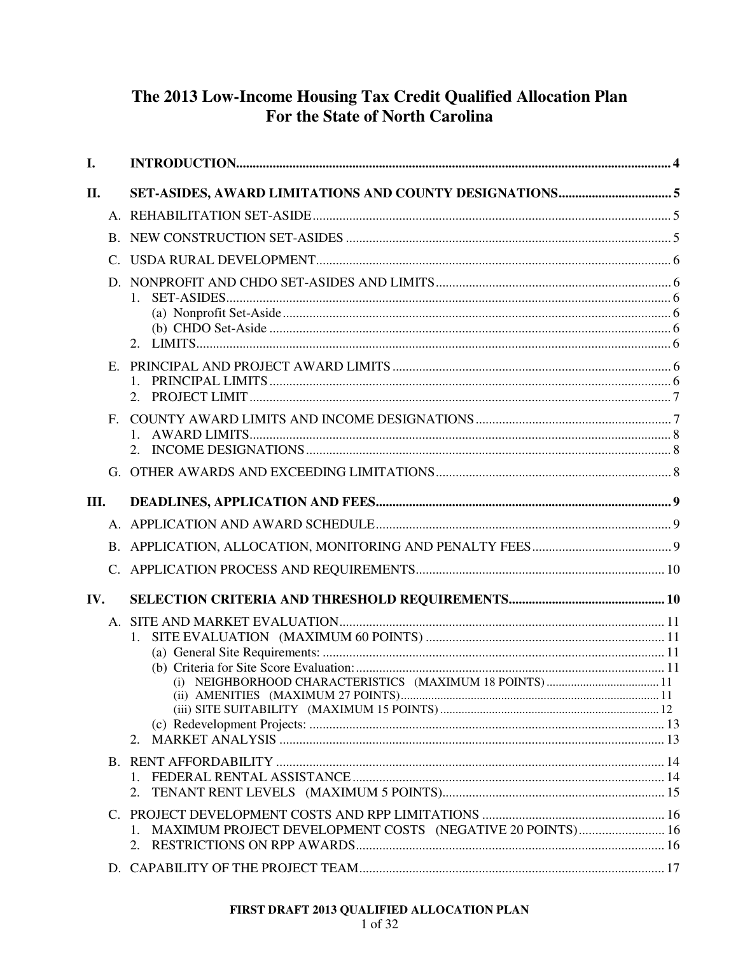# The 2013 Low-Income Housing Tax Credit Qualified Allocation Plan For the State of North Carolina

| I.             |                                                                             |  |
|----------------|-----------------------------------------------------------------------------|--|
| II.            |                                                                             |  |
|                |                                                                             |  |
| B.             |                                                                             |  |
| C.             |                                                                             |  |
| D.             | 1.<br>2.                                                                    |  |
| $E_{\rm c}$    | $1_{-}$                                                                     |  |
| $F_{\rm{L}}$   |                                                                             |  |
|                |                                                                             |  |
| III.           |                                                                             |  |
|                |                                                                             |  |
|                |                                                                             |  |
| $\mathsf{C}$ . |                                                                             |  |
| IV.            |                                                                             |  |
|                | $1_{\cdot}$<br>(i) NEIGHBORHOOD CHARACTERISTICS (MAXIMUM 18 POINTS)11<br>2. |  |
|                | 2.                                                                          |  |
|                | 1. MAXIMUM PROJECT DEVELOPMENT COSTS (NEGATIVE 20 POINTS) 16                |  |
|                |                                                                             |  |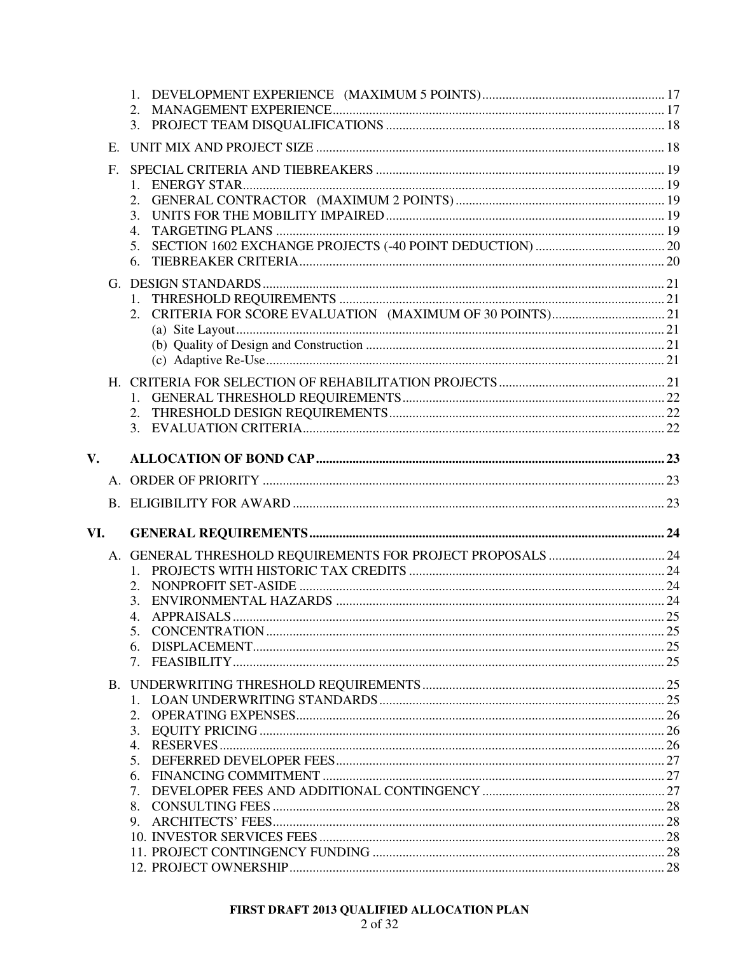|               | 2.<br>$\mathbf{3}$ .                                                          |  |
|---------------|-------------------------------------------------------------------------------|--|
| E.            |                                                                               |  |
| $F_{\rm{L}}$  | 2.<br>3.<br>$\overline{4}$ .<br>5.<br>6.                                      |  |
|               |                                                                               |  |
|               |                                                                               |  |
| $V_{\bullet}$ |                                                                               |  |
|               |                                                                               |  |
|               |                                                                               |  |
| VI.           |                                                                               |  |
|               | 1 <sup>1</sup><br>2.<br>3.<br>$4_{\cdot}$<br>$7_{\scriptscriptstyle{\ddots}}$ |  |
|               |                                                                               |  |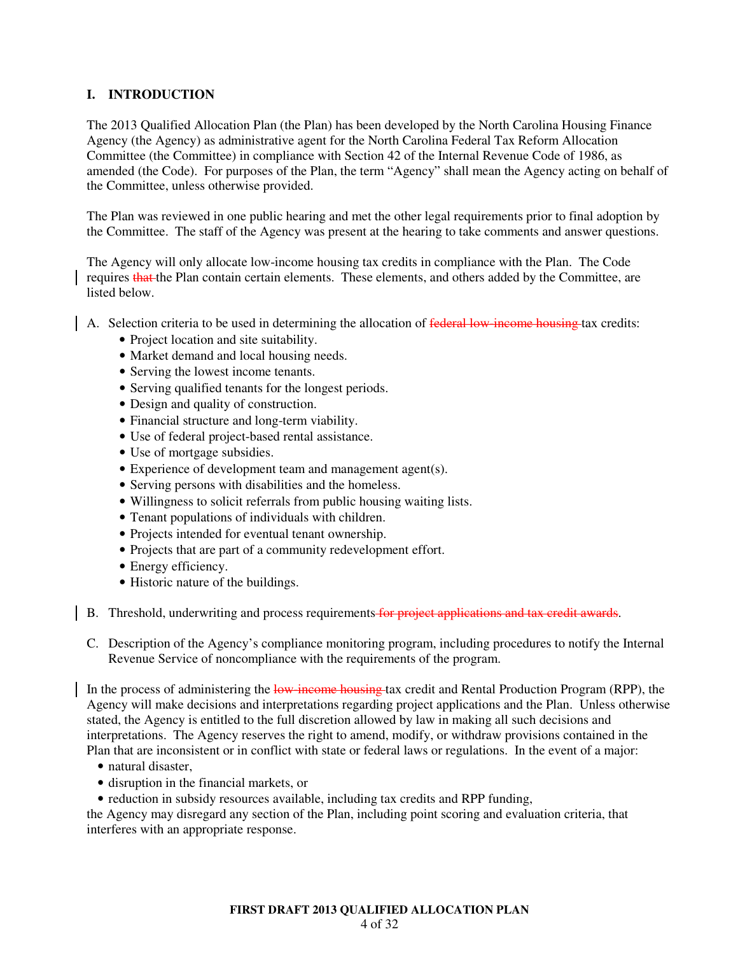# **I. INTRODUCTION**

The 2013 Qualified Allocation Plan (the Plan) has been developed by the North Carolina Housing Finance Agency (the Agency) as administrative agent for the North Carolina Federal Tax Reform Allocation Committee (the Committee) in compliance with Section 42 of the Internal Revenue Code of 1986, as amended (the Code). For purposes of the Plan, the term "Agency" shall mean the Agency acting on behalf of the Committee, unless otherwise provided.

The Plan was reviewed in one public hearing and met the other legal requirements prior to final adoption by the Committee. The staff of the Agency was present at the hearing to take comments and answer questions.

The Agency will only allocate low-income housing tax credits in compliance with the Plan. The Code requires that the Plan contain certain elements. These elements, and others added by the Committee, are listed below.

- A. Selection criteria to be used in determining the allocation of federal low-income housing tax credits:
	- Project location and site suitability.
	- Market demand and local housing needs.
	- Serving the lowest income tenants.
	- Serving qualified tenants for the longest periods.
	- Design and quality of construction.
	- Financial structure and long-term viability.
	- Use of federal project-based rental assistance.
	- Use of mortgage subsidies.
	- Experience of development team and management agent(s).
	- Serving persons with disabilities and the homeless.
	- Willingness to solicit referrals from public housing waiting lists.
	- Tenant populations of individuals with children.
	- Projects intended for eventual tenant ownership.
	- Projects that are part of a community redevelopment effort.
	- Energy efficiency.
	- Historic nature of the buildings.
- B. Threshold, underwriting and process requirements for project applications and tax credit awards.
	- C. Description of the Agency's compliance monitoring program, including procedures to notify the Internal Revenue Service of noncompliance with the requirements of the program.

In the process of administering the low-income housing tax credit and Rental Production Program (RPP), the Agency will make decisions and interpretations regarding project applications and the Plan. Unless otherwise stated, the Agency is entitled to the full discretion allowed by law in making all such decisions and interpretations. The Agency reserves the right to amend, modify, or withdraw provisions contained in the Plan that are inconsistent or in conflict with state or federal laws or regulations. In the event of a major:

- natural disaster,
- disruption in the financial markets, or
- reduction in subsidy resources available, including tax credits and RPP funding,

the Agency may disregard any section of the Plan, including point scoring and evaluation criteria, that interferes with an appropriate response.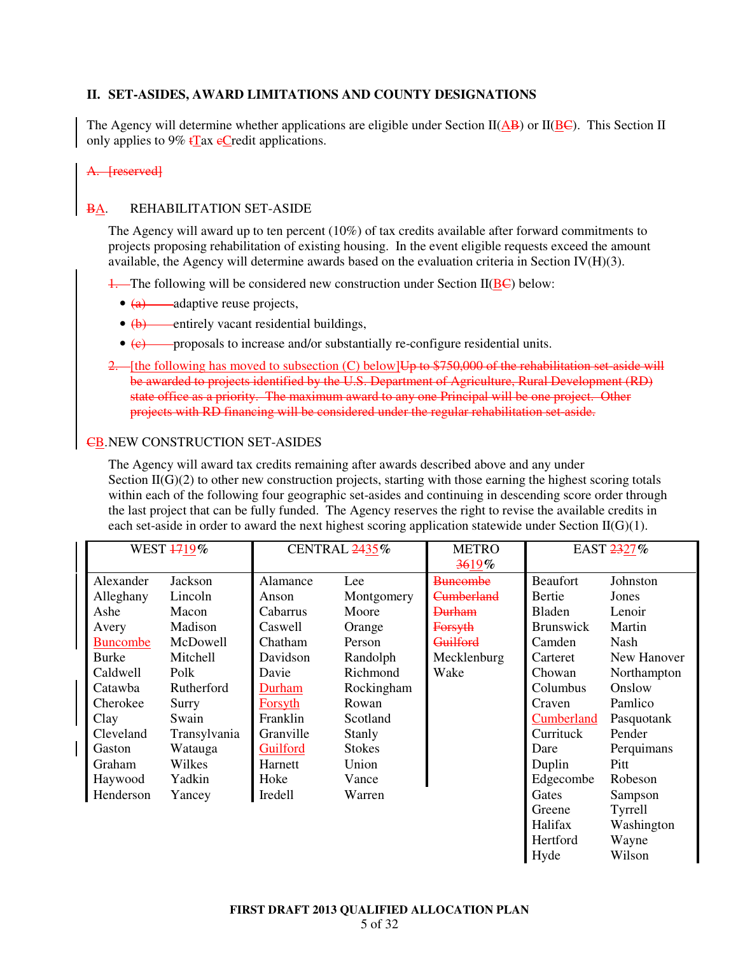# **II. SET-ASIDES, AWARD LIMITATIONS AND COUNTY DESIGNATIONS**

The Agency will determine whether applications are eligible under Section II( $\overline{AB}$ ) or II( $\overline{BC}$ ). This Section II only applies to 9%  $t\text{Tax}$  eCredit applications.

#### A. [reserved]

# BA. REHABILITATION SET-ASIDE

The Agency will award up to ten percent (10%) of tax credits available after forward commitments to projects proposing rehabilitation of existing housing. In the event eligible requests exceed the amount available, the Agency will determine awards based on the evaluation criteria in Section IV $(H)(3)$ .

 $\frac{1}{1}$ . The following will be considered new construction under Section II( $\underline{B}\underline{C}$ ) below:

- $\bullet$   $\overline{(a)}$  adaptive reuse projects,
- (b) entirely vacant residential buildings,
- (e) proposals to increase and/or substantially re-configure residential units.
- 2. [the following has moved to subsection (C) below]Up to \$750,000 of the rehabilitation set aside will be awarded to projects identified by the U.S. Department of Agriculture, Rural Development (RD) state office as a priority. The maximum award to any one Principal will be one project. Other projects with RD financing will be considered under the regular rehabilitation set-aside.

### **CB. NEW CONSTRUCTION SET-ASIDES**

The Agency will award tax credits remaining after awards described above and any under Section  $II(G)(2)$  to other new construction projects, starting with those earning the highest scoring totals within each of the following four geographic set-asides and continuing in descending score order through the last project that can be fully funded. The Agency reserves the right to revise the available credits in each set-aside in order to award the next highest scoring application statewide under Section  $\text{II}(\text{G})(1)$ .

| WEST 1719%      |              | CENTRAL 2435% |               | <b>METRO</b><br>3619% | EAST 2327%       |             |
|-----------------|--------------|---------------|---------------|-----------------------|------------------|-------------|
| Alexander       | Jackson      | Alamance      | Lee           | <b>Buncombe</b>       | <b>Beaufort</b>  | Johnston    |
| Alleghany       | Lincoln      | Anson         | Montgomery    | <del>Cumberland</del> | Bertie           | Jones       |
| Ashe            | Macon        | Cabarrus      | Moore         | <b>Durham</b>         | Bladen           | Lenoir      |
| Avery           | Madison      | Caswell       | Orange        | <b>Forsyth</b>        | <b>Brunswick</b> | Martin      |
| <b>Buncombe</b> | McDowell     | Chatham       | Person        | <del>Guilford</del>   | Camden           | <b>Nash</b> |
| <b>Burke</b>    | Mitchell     | Davidson      | Randolph      | Mecklenburg           | Carteret         | New Hanover |
| Caldwell        | Polk         | Davie         | Richmond      | Wake                  | Chowan           | Northampton |
| Catawba         | Rutherford   | Durham        | Rockingham    |                       | Columbus         | Onslow      |
| Cherokee        | Surry        | Forsyth       | Rowan         |                       | Craven           | Pamlico     |
| Clay            | Swain        | Franklin      | Scotland      |                       | Cumberland       | Pasquotank  |
| Cleveland       | Transylvania | Granville     | Stanly        |                       | Currituck        | Pender      |
| Gaston          | Watauga      | Guilford      | <b>Stokes</b> |                       | Dare             | Perquimans  |
| <b>Graham</b>   | Wilkes       | Harnett       | Union         |                       | Duplin           | Pitt        |
| Haywood         | Yadkin       | Hoke          | Vance         |                       | Edgecombe        | Robeson     |
| Henderson       | Yancey       | Iredell       | Warren        |                       | Gates            | Sampson     |
|                 |              |               |               |                       | Greene           | Tyrrell     |
|                 |              |               |               |                       | Halifax          | Washington  |
|                 |              |               |               |                       | Hertford         | Wayne       |
|                 |              |               |               |                       | Hyde             | Wilson      |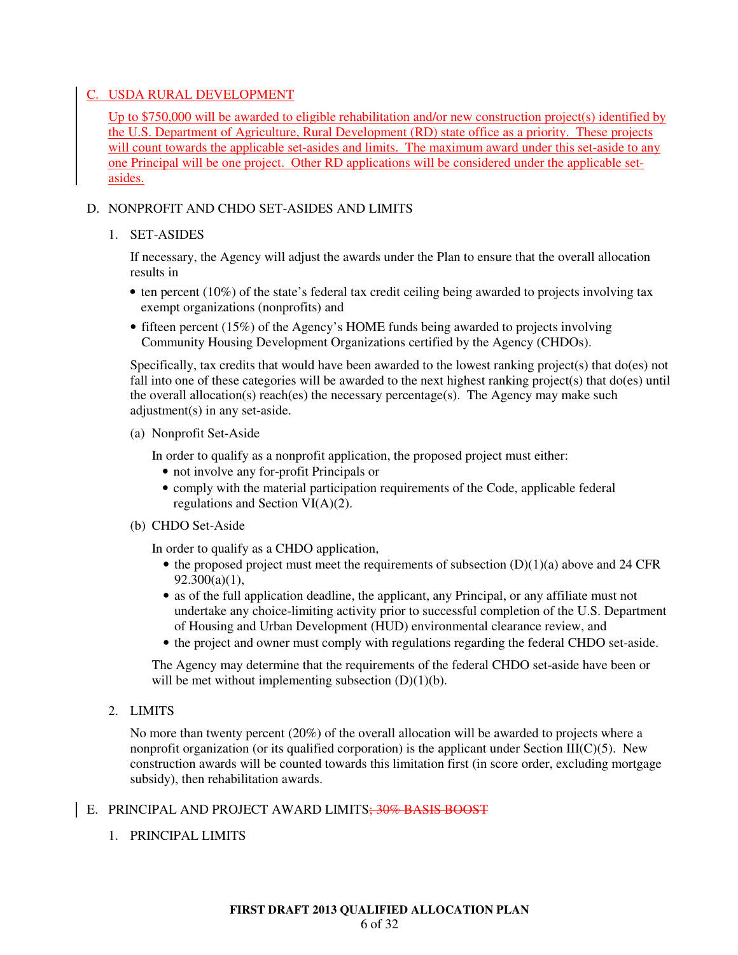# C. USDA RURAL DEVELOPMENT

Up to \$750,000 will be awarded to eligible rehabilitation and/or new construction project(s) identified by the U.S. Department of Agriculture, Rural Development (RD) state office as a priority. These projects will count towards the applicable set-asides and limits. The maximum award under this set-aside to any one Principal will be one project. Other RD applications will be considered under the applicable setasides.

# D. NONPROFIT AND CHDO SET-ASIDES AND LIMITS

# 1. SET-ASIDES

If necessary, the Agency will adjust the awards under the Plan to ensure that the overall allocation results in

- ten percent (10%) of the state's federal tax credit ceiling being awarded to projects involving tax exempt organizations (nonprofits) and
- fifteen percent (15%) of the Agency's HOME funds being awarded to projects involving Community Housing Development Organizations certified by the Agency (CHDOs).

Specifically, tax credits that would have been awarded to the lowest ranking project(s) that  $do(es)$  not fall into one of these categories will be awarded to the next highest ranking project(s) that do(es) until the overall allocation(s) reach(es) the necessary percentage(s). The Agency may make such adjustment(s) in any set-aside.

# (a) Nonprofit Set-Aside

In order to qualify as a nonprofit application, the proposed project must either:

- not involve any for-profit Principals or
- comply with the material participation requirements of the Code, applicable federal regulations and Section VI(A)(2).
- (b) CHDO Set-Aside

In order to qualify as a CHDO application,

- the proposed project must meet the requirements of subsection  $(D)(1)(a)$  above and 24 CFR  $92.300(a)(1)$ ,
- as of the full application deadline, the applicant, any Principal, or any affiliate must not undertake any choice-limiting activity prior to successful completion of the U.S. Department of Housing and Urban Development (HUD) environmental clearance review, and
- the project and owner must comply with regulations regarding the federal CHDO set-aside.

The Agency may determine that the requirements of the federal CHDO set-aside have been or will be met without implementing subsection  $(D)(1)(b)$ .

2. LIMITS

No more than twenty percent (20%) of the overall allocation will be awarded to projects where a nonprofit organization (or its qualified corporation) is the applicant under Section III(C)(5). New construction awards will be counted towards this limitation first (in score order, excluding mortgage subsidy), then rehabilitation awards.

# E. PRINCIPAL AND PROJECT AWARD LIMITS; 30% BASIS BOOST

1. PRINCIPAL LIMITS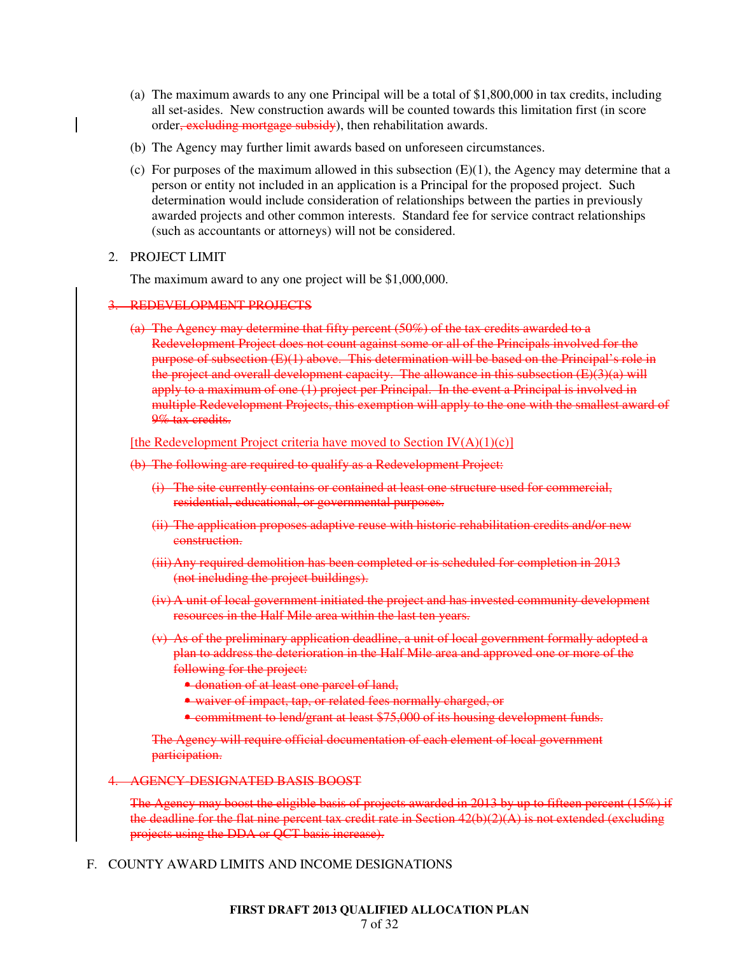- (a) The maximum awards to any one Principal will be a total of \$1,800,000 in tax credits, including all set-asides. New construction awards will be counted towards this limitation first (in score order<del>, excluding mortgage subsidy</del>), then rehabilitation awards.
- (b) The Agency may further limit awards based on unforeseen circumstances.
- (c) For purposes of the maximum allowed in this subsection  $(E)(1)$ , the Agency may determine that a person or entity not included in an application is a Principal for the proposed project. Such determination would include consideration of relationships between the parties in previously awarded projects and other common interests. Standard fee for service contract relationships (such as accountants or attorneys) will not be considered.

### 2. PROJECT LIMIT

The maximum award to any one project will be \$1,000,000.

# 3. REDEVELOPMENT PROJECTS

(a) The Agency may determine that fifty percent (50%) of the tax credits awarded to a Redevelopment Project does not count against some or all of the Principals involved for the purpose of subsection (E)(1) above. This determination will be based on the Principal's role in the project and overall development capacity. The allowance in this subsection (E)(3)(a) will apply to a maximum of one (1) project per Principal. In the event a Principal is involved in multiple Redevelopment Projects, this exemption will apply to the one with the smallest award of 9% tax credits.

#### [the Redevelopment Project criteria have moved to Section  $IV(A)(1)(c)$ ]

- (b) The following are required to qualify as a Redevelopment Project:
	- (i) The site currently contains or contained at least one structure used for commercial, residential, educational, or governmental purposes.
	- (ii) The application proposes adaptive reuse with historic rehabilitation credits and/or new construction.
	- (iii)Any required demolition has been completed or is scheduled for completion in 2013 (not including the project buildings).
	- (iv) A unit of local government initiated the project and has invested community development resources in the Half Mile area within the last ten years.
	- (v) As of the preliminary application deadline, a unit of local government formally adopted a plan to address the deterioration in the Half Mile area and approved one or more of the following for the project:
		- donation of at least one parcel of land,
		- waiver of impact, tap, or related fees normally charged, or
		- commitment to lend/grant at least \$75,000 of its housing development funds.

The Agency will require official documentation of each element of local government participation.

4. AGENCY-DESIGNATED BASIS BOOST

The Agency may boost the eligible basis of projects awarded in 2013 by up to fifteen percent (15%) if the deadline for the flat nine percent tax credit rate in Section  $42(b)(2)(A)$  is not extended (excluding projects using the DDA or QCT basis increase).

F. COUNTY AWARD LIMITS AND INCOME DESIGNATIONS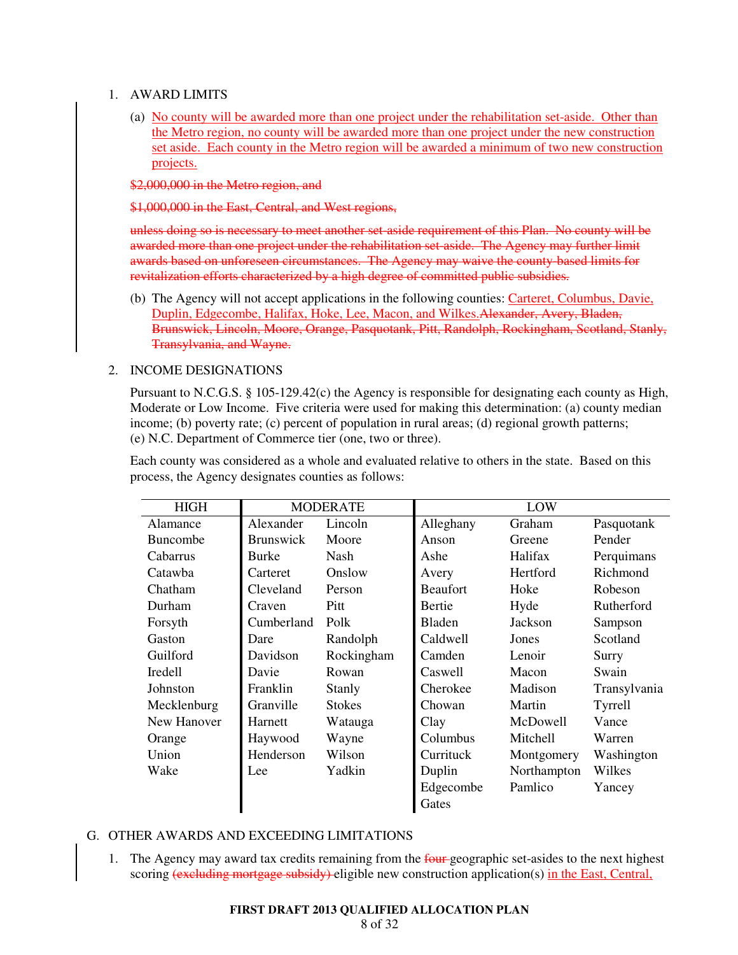### 1. AWARD LIMITS

(a) No county will be awarded more than one project under the rehabilitation set-aside. Other than the Metro region, no county will be awarded more than one project under the new construction set aside. Each county in the Metro region will be awarded a minimum of two new construction projects.

\$2,000,000 in the Metro region, and

\$1,000,000 in the East, Central, and West regions,

unless doing so is necessary to meet another set-aside requirement of this Plan. No county will be awarded more than one project under the rehabilitation set-aside. The Agency may further limit awards based on unforeseen circumstances. The Agency may waive the county-based limits for revitalization efforts characterized by a high degree of committed public subsidies.

(b) The Agency will not accept applications in the following counties: Carteret, Columbus, Davie, Duplin, Edgecombe, Halifax, Hoke, Lee, Macon, and Wilkes.Alexander, Avery, Bladen, Brunswick, Lincoln, Moore, Orange, Pasquotank, Pitt, Randolph, Rockingham, Scotland, Stanly, Transylvania, and Wayne.

# 2. INCOME DESIGNATIONS

Pursuant to N.C.G.S. § 105-129.42(c) the Agency is responsible for designating each county as High, Moderate or Low Income. Five criteria were used for making this determination: (a) county median income; (b) poverty rate; (c) percent of population in rural areas; (d) regional growth patterns; (e) N.C. Department of Commerce tier (one, two or three).

Each county was considered as a whole and evaluated relative to others in the state. Based on this process, the Agency designates counties as follows:

| <b>HIGH</b>     | <b>MODERATE</b>  |               |                 | LOW         |              |
|-----------------|------------------|---------------|-----------------|-------------|--------------|
| Alamance        | Alexander        | Lincoln       | Alleghany       | Graham      | Pasquotank   |
| <b>Buncombe</b> | <b>Brunswick</b> | Moore         | Anson           | Greene      | Pender       |
| Cabarrus        | Burke            | Nash          | Ashe            | Halifax     | Perquimans   |
| Catawba         | Carteret         | Onslow        | Avery           | Hertford    | Richmond     |
| Chatham         | Cleveland        | Person        | <b>Beaufort</b> | Hoke        | Robeson      |
| Durham          | Craven           | Pitt          | Bertie          | Hyde        | Rutherford   |
| Forsyth         | Cumberland       | Polk          | <b>Bladen</b>   | Jackson     | Sampson      |
| Gaston          | Dare             | Randolph      | Caldwell        | Jones       | Scotland     |
| Guilford        | Davidson         | Rockingham    | Camden          | Lenoir      | Surry        |
| <b>Iredell</b>  | Davie            | Rowan         | Caswell         | Macon       | Swain        |
| Johnston        | Franklin         | Stanly        | Cherokee        | Madison     | Transylvania |
| Mecklenburg     | Granville        | <b>Stokes</b> | Chowan          | Martin      | Tyrrell      |
| New Hanover     | Harnett          | Watauga       | Clay            | McDowell    | Vance        |
| Orange          | Haywood          | Wayne         | Columbus        | Mitchell    | Warren       |
| Union           | Henderson        | Wilson        | Currituck       | Montgomery  | Washington   |
| Wake            | Lee              | Yadkin        | Duplin          | Northampton | Wilkes       |
|                 |                  |               | Edgecombe       | Pamlico     | Yancey       |
|                 |                  |               | Gates           |             |              |

# G. OTHER AWARDS AND EXCEEDING LIMITATIONS

1. The Agency may award tax credits remaining from the four-geographic set-asides to the next highest scoring (excluding mortgage subsidy) eligible new construction application(s) in the East, Central,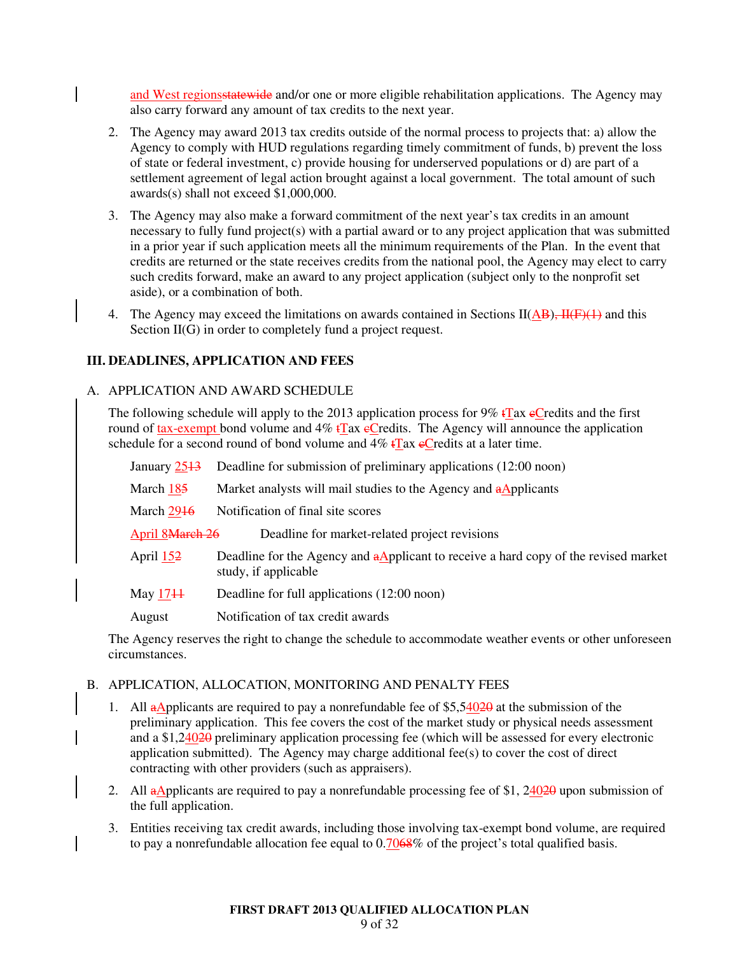and West regionsstatewide and/or one or more eligible rehabilitation applications. The Agency may also carry forward any amount of tax credits to the next year.

- 2. The Agency may award 2013 tax credits outside of the normal process to projects that: a) allow the Agency to comply with HUD regulations regarding timely commitment of funds, b) prevent the loss of state or federal investment, c) provide housing for underserved populations or d) are part of a settlement agreement of legal action brought against a local government. The total amount of such awards(s) shall not exceed \$1,000,000.
- 3. The Agency may also make a forward commitment of the next year's tax credits in an amount necessary to fully fund project(s) with a partial award or to any project application that was submitted in a prior year if such application meets all the minimum requirements of the Plan. In the event that credits are returned or the state receives credits from the national pool, the Agency may elect to carry such credits forward, make an award to any project application (subject only to the nonprofit set aside), or a combination of both.
- 4. The Agency may exceed the limitations on awards contained in Sections II( $\overrightarrow{AB}$ ),  $\overrightarrow{H(F)}$  and this Section II(G) in order to completely fund a project request.

# **III. DEADLINES, APPLICATION AND FEES**

### A. APPLICATION AND AWARD SCHEDULE

The following schedule will apply to the 2013 application process for 9%  $\frac{1}{2}$ ax eCredits and the first round of tax-exempt bond volume and  $4\%$  tTax eCredits. The Agency will announce the application schedule for a second round of bond volume and  $4\%$  tTax eCredits at a later time.

| January 2513    | Deadline for submission of preliminary applications (12:00 noon)                                                    |
|-----------------|---------------------------------------------------------------------------------------------------------------------|
| March 185       | Market analysts will mail studies to the Agency and aApplicants                                                     |
| March 2946      | Notification of final site scores                                                                                   |
| April 8March 26 | Deadline for market-related project revisions                                                                       |
| April 152       | Deadline for the Agency and $\alpha$ Applicant to receive a hard copy of the revised market<br>study, if applicable |
| May $1711$      | Deadline for full applications (12:00 noon)                                                                         |
| August          | Notification of tax credit awards                                                                                   |

The Agency reserves the right to change the schedule to accommodate weather events or other unforeseen circumstances.

#### B. APPLICATION, ALLOCATION, MONITORING AND PENALTY FEES

- 1. All aApplicants are required to pay a nonrefundable fee of  $$5,54020$  at the submission of the preliminary application. This fee covers the cost of the market study or physical needs assessment and a \$1,24020 preliminary application processing fee (which will be assessed for every electronic application submitted). The Agency may charge additional fee(s) to cover the cost of direct contracting with other providers (such as appraisers).
- 2. All  $\alpha$ Applicants are required to pay a nonrefundable processing fee of \$1, 24020 upon submission of the full application.
- 3. Entities receiving tax credit awards, including those involving tax-exempt bond volume, are required to pay a nonrefundable allocation fee equal to  $0.7068\%$  of the project's total qualified basis.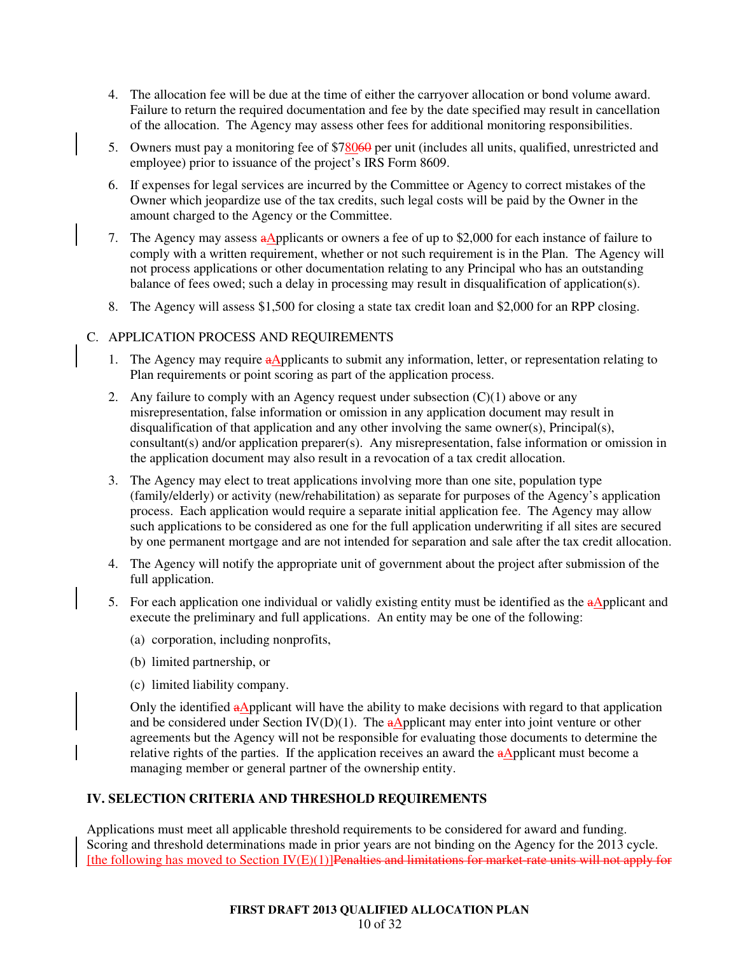- 4. The allocation fee will be due at the time of either the carryover allocation or bond volume award. Failure to return the required documentation and fee by the date specified may result in cancellation of the allocation. The Agency may assess other fees for additional monitoring responsibilities.
- 5. Owners must pay a monitoring fee of \$78060 per unit (includes all units, qualified, unrestricted and employee) prior to issuance of the project's IRS Form 8609.
- 6. If expenses for legal services are incurred by the Committee or Agency to correct mistakes of the Owner which jeopardize use of the tax credits, such legal costs will be paid by the Owner in the amount charged to the Agency or the Committee.
- 7. The Agency may assess a Applicants or owners a fee of up to \$2,000 for each instance of failure to comply with a written requirement, whether or not such requirement is in the Plan. The Agency will not process applications or other documentation relating to any Principal who has an outstanding balance of fees owed; such a delay in processing may result in disqualification of application(s).
- 8. The Agency will assess \$1,500 for closing a state tax credit loan and \$2,000 for an RPP closing.

# C. APPLICATION PROCESS AND REQUIREMENTS

- 1. The Agency may require aApplicants to submit any information, letter, or representation relating to Plan requirements or point scoring as part of the application process.
- 2. Any failure to comply with an Agency request under subsection  $(C)(1)$  above or any misrepresentation, false information or omission in any application document may result in disqualification of that application and any other involving the same owner(s), Principal(s), consultant(s) and/or application preparer(s). Any misrepresentation, false information or omission in the application document may also result in a revocation of a tax credit allocation.
- 3. The Agency may elect to treat applications involving more than one site, population type (family/elderly) or activity (new/rehabilitation) as separate for purposes of the Agency's application process. Each application would require a separate initial application fee. The Agency may allow such applications to be considered as one for the full application underwriting if all sites are secured by one permanent mortgage and are not intended for separation and sale after the tax credit allocation.
- 4. The Agency will notify the appropriate unit of government about the project after submission of the full application.
- 5. For each application one individual or validly existing entity must be identified as the aApplicant and execute the preliminary and full applications. An entity may be one of the following:
	- (a) corporation, including nonprofits,
	- (b) limited partnership, or
	- (c) limited liability company.

Only the identified  $a\Delta$ pplicant will have the ability to make decisions with regard to that application and be considered under Section IV(D)(1). The  $a\Delta$ pplicant may enter into joint venture or other agreements but the Agency will not be responsible for evaluating those documents to determine the relative rights of the parties. If the application receives an award the  $a\Delta$ pplicant must become a managing member or general partner of the ownership entity.

# **IV. SELECTION CRITERIA AND THRESHOLD REQUIREMENTS**

Applications must meet all applicable threshold requirements to be considered for award and funding. Scoring and threshold determinations made in prior years are not binding on the Agency for the 2013 cycle. [the following has moved to Section  $IV(E)(1)$ ] Penalties and limitations for market-rate units will not apply for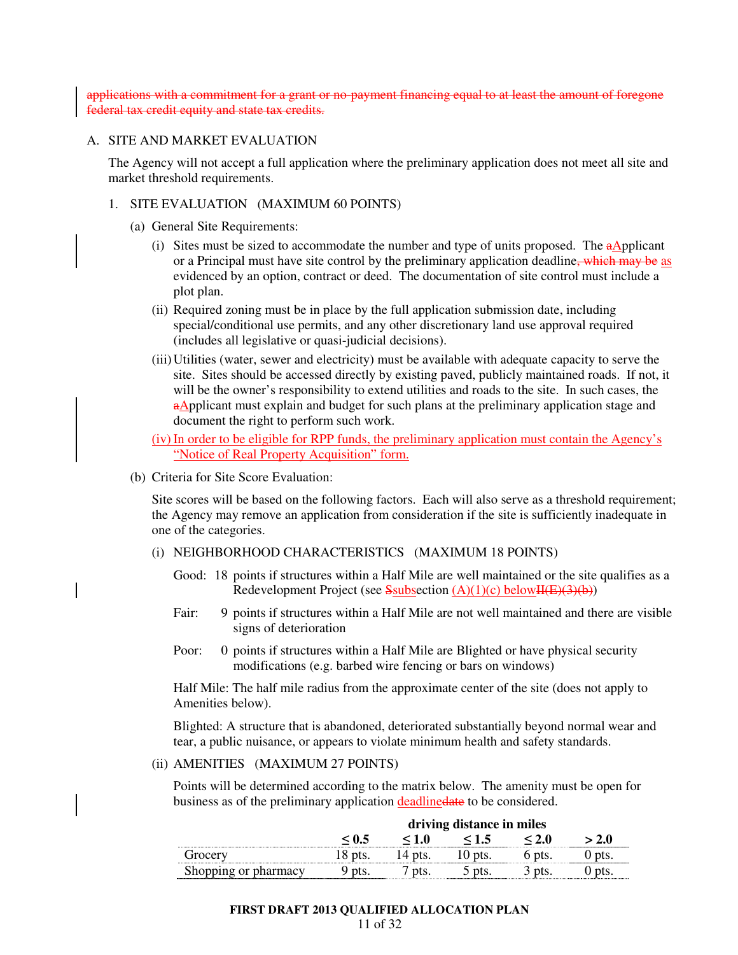applications with a commitment for a grant or no-payment financing equal to at least the amount of foregone federal tax credit equity and state tax credits.

#### A. SITE AND MARKET EVALUATION

The Agency will not accept a full application where the preliminary application does not meet all site and market threshold requirements.

#### 1. SITE EVALUATION (MAXIMUM 60 POINTS)

- (a) General Site Requirements:
	- (i) Sites must be sized to accommodate the number and type of units proposed. The  $a\Delta$ pplicant or a Principal must have site control by the preliminary application deadline, which may be as evidenced by an option, contract or deed. The documentation of site control must include a plot plan.
	- (ii) Required zoning must be in place by the full application submission date, including special/conditional use permits, and any other discretionary land use approval required (includes all legislative or quasi-judicial decisions).
	- (iii) Utilities (water, sewer and electricity) must be available with adequate capacity to serve the site. Sites should be accessed directly by existing paved, publicly maintained roads. If not, it will be the owner's responsibility to extend utilities and roads to the site. In such cases, the aApplicant must explain and budget for such plans at the preliminary application stage and document the right to perform such work.

(iv) In order to be eligible for RPP funds, the preliminary application must contain the Agency's "Notice of Real Property Acquisition" form.

(b) Criteria for Site Score Evaluation:

Site scores will be based on the following factors. Each will also serve as a threshold requirement; the Agency may remove an application from consideration if the site is sufficiently inadequate in one of the categories.

- (i) NEIGHBORHOOD CHARACTERISTICS (MAXIMUM 18 POINTS)
	- Good: 18 points if structures within a Half Mile are well maintained or the site qualifies as a Redevelopment Project (see Ssubsection  $(A)(1)(c)$  below $H(E)(3)(b)$ )
	- Fair: 9 points if structures within a Half Mile are not well maintained and there are visible signs of deterioration
	- Poor: 0 points if structures within a Half Mile are Blighted or have physical security modifications (e.g. barbed wire fencing or bars on windows)

Half Mile: The half mile radius from the approximate center of the site (does not apply to Amenities below).

Blighted: A structure that is abandoned, deteriorated substantially beyond normal wear and tear, a public nuisance, or appears to violate minimum health and safety standards.

#### (ii) AMENITIES (MAXIMUM 27 POINTS)

Points will be determined according to the matrix below. The amenity must be open for business as of the preliminary application deadlinedate to be considered.

|                      | driving distance in miles |     |       |     |  |
|----------------------|---------------------------|-----|-------|-----|--|
|                      |                           | 1.O | - 1.5 | 2 O |  |
|                      |                           |     |       |     |  |
| Shopping or pharmacy |                           |     |       |     |  |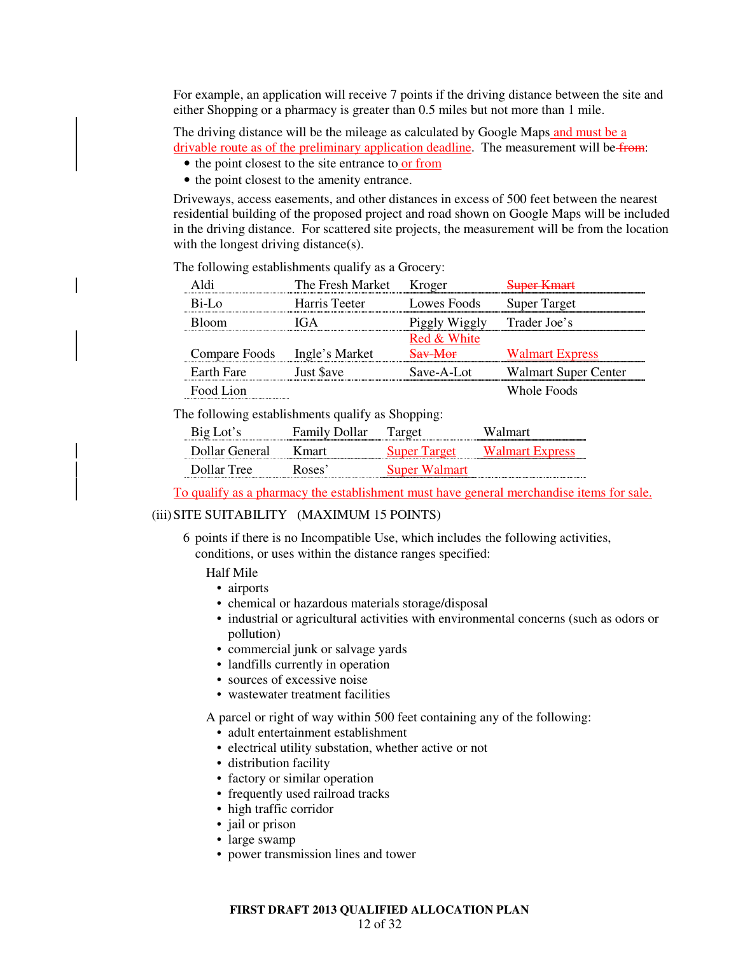For example, an application will receive 7 points if the driving distance between the site and either Shopping or a pharmacy is greater than 0.5 miles but not more than 1 mile.

The driving distance will be the mileage as calculated by Google Maps and must be a drivable route as of the preliminary application deadline. The measurement will be from:

- the point closest to the site entrance to or from
- the point closest to the amenity entrance.

Driveways, access easements, and other distances in excess of 500 feet between the nearest residential building of the proposed project and road shown on Google Maps will be included in the driving distance. For scattered site projects, the measurement will be from the location with the longest driving distance(s).

Aldi The Fresh Market Kroger Super Kmart Bi-Lo Harris Teeter Lowes Foods Super Target Bloom IGA Piggly Wiggly Trader Joe's Compare Foods Ingle's Market Red & White Sav-Mor Walmart Express Earth Fare Just \$ave Save-A-Lot Walmart Super Center Food Lion Whole Foods

The following establishments qualify as a Grocery:

The following establishments qualify as Shopping:

| Big Lot's      | <b>Family Dollar</b> | Target              | Walmart                |
|----------------|----------------------|---------------------|------------------------|
| Dollar General | K mart               | <b>Super Target</b> | <b>Walmart Express</b> |
| Dollar Tree    | Roses <sup>2</sup>   | Super Walmart       |                        |

To qualify as a pharmacy the establishment must have general merchandise items for sale.

#### (iii) SITE SUITABILITY (MAXIMUM 15 POINTS)

 6 points if there is no Incompatible Use, which includes the following activities, conditions, or uses within the distance ranges specified:

#### Half Mile

- airports
- chemical or hazardous materials storage/disposal
- industrial or agricultural activities with environmental concerns (such as odors or pollution)
- commercial junk or salvage yards
- landfills currently in operation
- sources of excessive noise
- wastewater treatment facilities

A parcel or right of way within 500 feet containing any of the following:

- adult entertainment establishment
- electrical utility substation, whether active or not
- distribution facility
- factory or similar operation
- frequently used railroad tracks
- high traffic corridor
- jail or prison
- large swamp
- power transmission lines and tower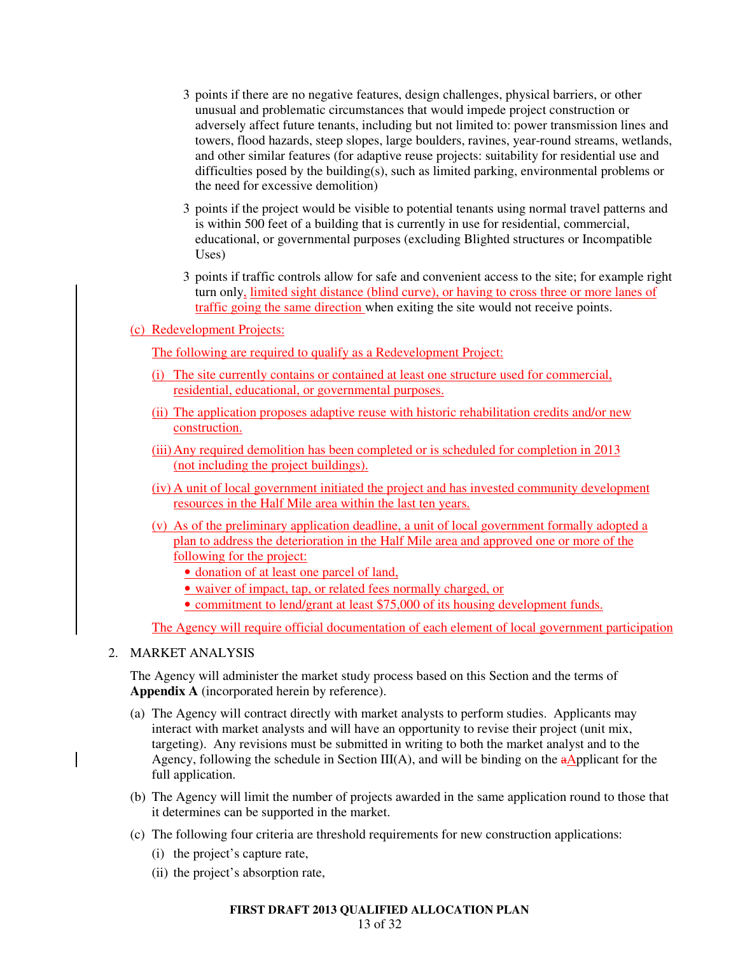- 3 points if there are no negative features, design challenges, physical barriers, or other unusual and problematic circumstances that would impede project construction or adversely affect future tenants, including but not limited to: power transmission lines and towers, flood hazards, steep slopes, large boulders, ravines, year-round streams, wetlands, and other similar features (for adaptive reuse projects: suitability for residential use and difficulties posed by the building(s), such as limited parking, environmental problems or the need for excessive demolition)
- 3 points if the project would be visible to potential tenants using normal travel patterns and is within 500 feet of a building that is currently in use for residential, commercial, educational, or governmental purposes (excluding Blighted structures or Incompatible Uses)
- 3 points if traffic controls allow for safe and convenient access to the site; for example right turn only, limited sight distance (blind curve), or having to cross three or more lanes of traffic going the same direction when exiting the site would not receive points.
- (c) Redevelopment Projects:

The following are required to qualify as a Redevelopment Project:

- (i) The site currently contains or contained at least one structure used for commercial, residential, educational, or governmental purposes.
- (ii) The application proposes adaptive reuse with historic rehabilitation credits and/or new construction.
- (iii) Any required demolition has been completed or is scheduled for completion in 2013 (not including the project buildings).
- (iv) A unit of local government initiated the project and has invested community development resources in the Half Mile area within the last ten years.
- (v) As of the preliminary application deadline, a unit of local government formally adopted a plan to address the deterioration in the Half Mile area and approved one or more of the following for the project:
	- donation of at least one parcel of land,
	- waiver of impact, tap, or related fees normally charged, or
	- commitment to lend/grant at least \$75,000 of its housing development funds.

The Agency will require official documentation of each element of local government participation

2. MARKET ANALYSIS

The Agency will administer the market study process based on this Section and the terms of **Appendix A** (incorporated herein by reference).

- (a) The Agency will contract directly with market analysts to perform studies. Applicants may interact with market analysts and will have an opportunity to revise their project (unit mix, targeting). Any revisions must be submitted in writing to both the market analyst and to the Agency, following the schedule in Section III(A), and will be binding on the  $a$ Applicant for the full application.
- (b) The Agency will limit the number of projects awarded in the same application round to those that it determines can be supported in the market.
- (c) The following four criteria are threshold requirements for new construction applications:
	- (i) the project's capture rate,
	- (ii) the project's absorption rate,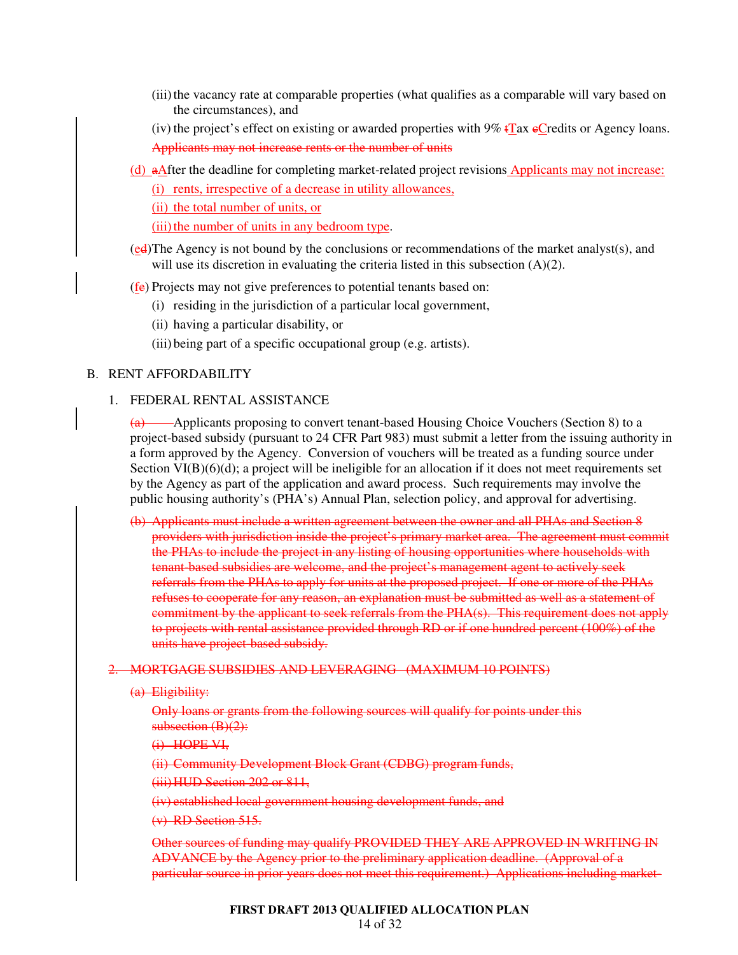- (iii) the vacancy rate at comparable properties (what qualifies as a comparable will vary based on the circumstances), and
- (iv) the project's effect on existing or awarded properties with  $9\%$  tTax eCredits or Agency loans. Applicants may not increase rents or the number of units
- (d) aAfter the deadline for completing market-related project revisions Applicants may not increase:
	- (i) rents, irrespective of a decrease in utility allowances,
	- (ii) the total number of units, or

(iii) the number of units in any bedroom type.

- (ed) The Agency is not bound by the conclusions or recommendations of the market analyst(s), and will use its discretion in evaluating the criteria listed in this subsection (A)(2).
- (fe) Projects may not give preferences to potential tenants based on:
	- (i) residing in the jurisdiction of a particular local government,
	- (ii) having a particular disability, or
	- (iii) being part of a specific occupational group (e.g. artists).

### B. RENT AFFORDABILITY

### 1. FEDERAL RENTAL ASSISTANCE

 $\overline{a}$  Applicants proposing to convert tenant-based Housing Choice Vouchers (Section 8) to a project-based subsidy (pursuant to 24 CFR Part 983) must submit a letter from the issuing authority in a form approved by the Agency. Conversion of vouchers will be treated as a funding source under Section  $VI(B)(6)(d)$ ; a project will be ineligible for an allocation if it does not meet requirements set by the Agency as part of the application and award process. Such requirements may involve the public housing authority's (PHA's) Annual Plan, selection policy, and approval for advertising.

(b) Applicants must include a written agreement between the owner and all PHAs and Section 8 providers with jurisdiction inside the project's primary market area. The agreement must commit the PHAs to include the project in any listing of housing opportunities where households with tenant-based subsidies are welcome, and the project's management agent to actively seek referrals from the PHAs to apply for units at the proposed project. If one or more of the PHAs refuses to cooperate for any reason, an explanation must be submitted as well as a statement of commitment by the applicant to seek referrals from the PHA(s). This requirement does not apply to projects with rental assistance provided through RD or if one hundred percent (100%) of the units have project-based subsidy.

#### 2. MORTGAGE SUBSIDIES AND LEVERAGING (MAXIMUM 10 POINTS)

(a) Eligibility:

Only loans or grants from the following sources will qualify for points under this subsection  $(B)(2)$ :

(i) HOPE VI,

(ii) Community Development Block Grant (CDBG) program funds,

(iii)HUD Section 202 or 811,

(iv) established local government housing development funds, and

(v) RD Section 515.

Other sources of funding may qualify PROVIDED THEY ARE APPROVED IN WRITING IN ADVANCE by the Agency prior to the preliminary application deadline. (Approval of a particular source in prior years does not meet this requirement.) Applications including market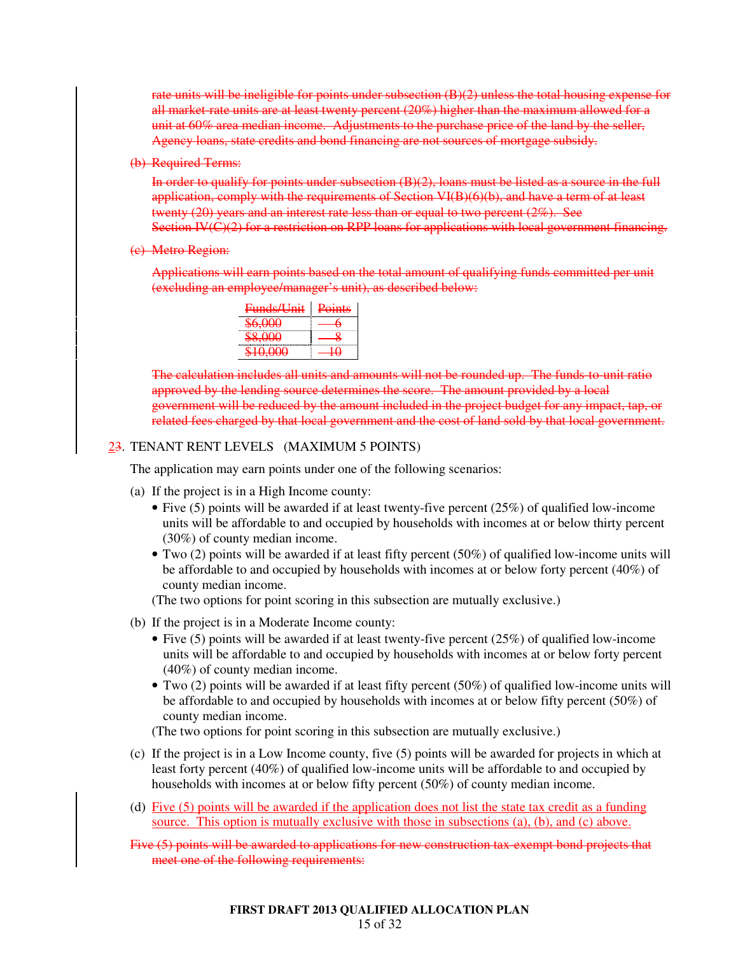rate units will be ineligible for points under subsection (B)(2) unless the total housing expense for all market-rate units are at least twenty percent (20%) higher than the maximum allowed for a unit at 60% area median income. Adjustments to the purchase price of the land by the seller, Agency loans, state credits and bond financing are not sources of mortgage subsidy.

(b) Required Terms:

In order to qualify for points under subsection (B)(2), loans must be listed as a source in the full application, comply with the requirements of Section VI(B)(6)(b), and have a term of at least twenty  $(20)$  years and an interest rate less than or equal to two percent  $(2\%)$ . See Section IV(C)(2) for a restriction on RPP loans for applications with local government financing.

(c) Metro Region:

Applications will earn points based on the total amount of qualifying funds committed per unit (excluding an employee/manager's unit), as described below:

| Funds/Unit | Points |
|------------|--------|
| \$6.000    |        |
| מחח שי     |        |
| ነስ ስስስ     |        |

The calculation includes all units and amounts will not be rounded up. The funds-to-unit ratio approved by the lending source determines the score. The amount provided by a local government will be reduced by the amount included in the project budget for any impact, tap, or related fees charged by that local government and the cost of land sold by that local government.

# 23. TENANT RENT LEVELS (MAXIMUM 5 POINTS)

The application may earn points under one of the following scenarios:

- (a) If the project is in a High Income county:
	- Five (5) points will be awarded if at least twenty-five percent (25%) of qualified low-income units will be affordable to and occupied by households with incomes at or below thirty percent (30%) of county median income.
	- Two (2) points will be awarded if at least fifty percent (50%) of qualified low-income units will be affordable to and occupied by households with incomes at or below forty percent (40%) of county median income.

(The two options for point scoring in this subsection are mutually exclusive.)

- (b) If the project is in a Moderate Income county:
	- Five (5) points will be awarded if at least twenty-five percent  $(25%)$  of qualified low-income units will be affordable to and occupied by households with incomes at or below forty percent (40%) of county median income.
	- Two (2) points will be awarded if at least fifty percent (50%) of qualified low-income units will be affordable to and occupied by households with incomes at or below fifty percent (50%) of county median income.

(The two options for point scoring in this subsection are mutually exclusive.)

- (c) If the project is in a Low Income county, five (5) points will be awarded for projects in which at least forty percent (40%) of qualified low-income units will be affordable to and occupied by households with incomes at or below fifty percent (50%) of county median income.
- (d) Five  $(5)$  points will be awarded if the application does not list the state tax credit as a funding source. This option is mutually exclusive with those in subsections (a), (b), and (c) above.
- Five (5) points will be awarded to applications for new construction tax-exempt bond projects that meet one of the following requirements: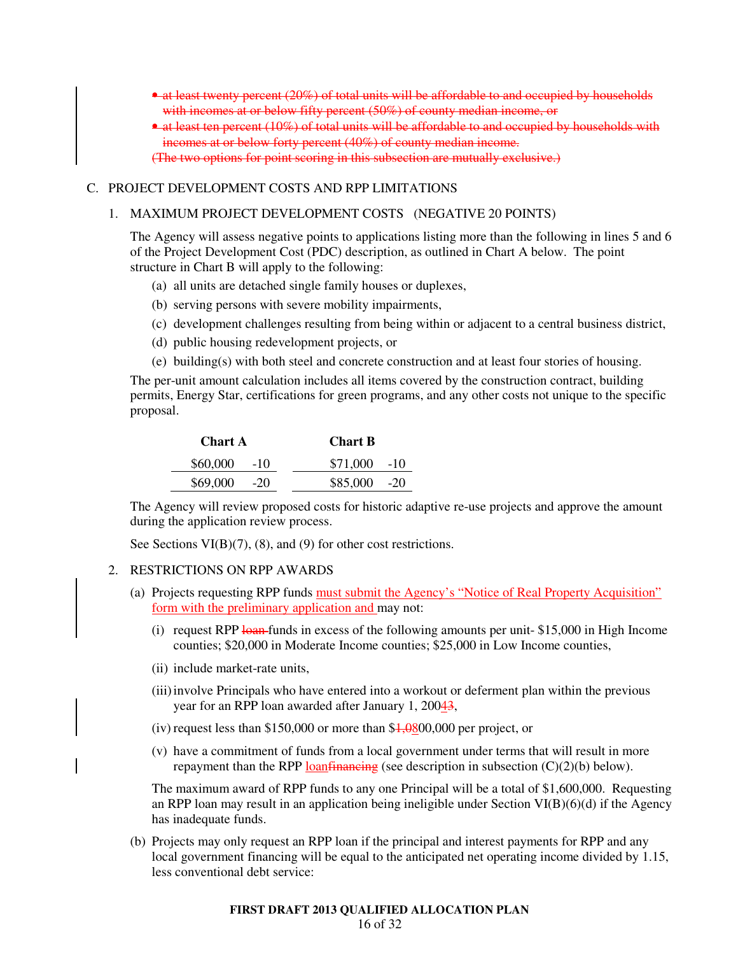- at least twenty percent (20%) of total units will be affordable to and occupied by households with incomes at or below fifty percent (50%) of county median income, or
- at least ten percent (10%) of total units will be affordable to and occupied by households with incomes at or below forty percent (40%) of county median income. (The two options for point scoring in this subsection are mutually exclusive.)

#### C. PROJECT DEVELOPMENT COSTS AND RPP LIMITATIONS

#### 1. MAXIMUM PROJECT DEVELOPMENT COSTS (NEGATIVE 20 POINTS)

The Agency will assess negative points to applications listing more than the following in lines 5 and 6 of the Project Development Cost (PDC) description, as outlined in Chart A below. The point structure in Chart B will apply to the following:

- (a) all units are detached single family houses or duplexes,
- (b) serving persons with severe mobility impairments,
- (c) development challenges resulting from being within or adjacent to a central business district,
- (d) public housing redevelopment projects, or
- (e) building(s) with both steel and concrete construction and at least four stories of housing.

The per-unit amount calculation includes all items covered by the construction contract, building permits, Energy Star, certifications for green programs, and any other costs not unique to the specific proposal.

| <b>Chart A</b> | <b>Chart B</b> |               |  |
|----------------|----------------|---------------|--|
| $$60,000$ -10  |                | $$71,000$ -10 |  |
| \$69,000       | $-20$          | $$85,000$ -20 |  |

The Agency will review proposed costs for historic adaptive re-use projects and approve the amount during the application review process.

See Sections VI(B)(7), (8), and (9) for other cost restrictions.

### 2. RESTRICTIONS ON RPP AWARDS

- (a) Projects requesting RPP funds must submit the Agency's "Notice of Real Property Acquisition" form with the preliminary application and may not:
	- (i) request RPP  $\frac{1}{2}$  funds in excess of the following amounts per unit-\$15,000 in High Income counties; \$20,000 in Moderate Income counties; \$25,000 in Low Income counties,
	- (ii) include market-rate units,
	- (iii) involve Principals who have entered into a workout or deferment plan within the previous year for an RPP loan awarded after January 1, 20043,
	- (iv) request less than \$150,000 or more than  $\frac{$4,0800,000}{4}$  per project, or
	- (v) have a commitment of funds from a local government under terms that will result in more repayment than the RPP loanfinancing (see description in subsection  $(C)(2)(b)$  below).

The maximum award of RPP funds to any one Principal will be a total of \$1,600,000. Requesting an RPP loan may result in an application being ineligible under Section VI(B)(6)(d) if the Agency has inadequate funds.

(b) Projects may only request an RPP loan if the principal and interest payments for RPP and any local government financing will be equal to the anticipated net operating income divided by 1.15, less conventional debt service: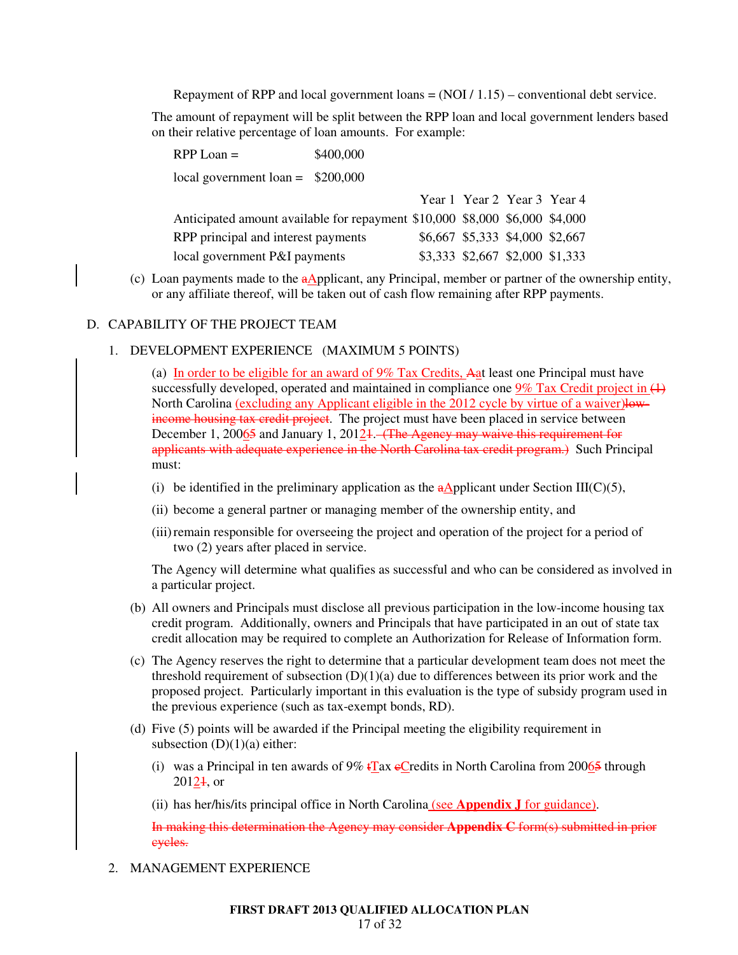Repayment of RPP and local government loans  $= (NOI / 1.15)$  – conventional debt service.

The amount of repayment will be split between the RPP loan and local government lenders based on their relative percentage of loan amounts. For example:

| $RPP$ Loan =                                                                | \$400,000 |                                 |  |
|-----------------------------------------------------------------------------|-----------|---------------------------------|--|
| local government loan = $$200,000$                                          |           |                                 |  |
|                                                                             |           | Year 1 Year 2 Year 3 Year 4     |  |
| Anticipated amount available for repayment \$10,000 \$8,000 \$6,000 \$4,000 |           |                                 |  |
| RPP principal and interest payments                                         |           | \$6,667 \$5,333 \$4,000 \$2,667 |  |
| local government P&I payments                                               |           | \$3,333 \$2,667 \$2,000 \$1,333 |  |

(c) Loan payments made to the  $a$ Applicant, any Principal, member or partner of the ownership entity, or any affiliate thereof, will be taken out of cash flow remaining after RPP payments.

### D. CAPABILITY OF THE PROJECT TEAM

1. DEVELOPMENT EXPERIENCE (MAXIMUM 5 POINTS)

(a) In order to be eligible for an award of 9% Tax Credits, Aat least one Principal must have successfully developed, operated and maintained in compliance one  $\frac{9\% \text{ Tax Credit project in (+)}}{}$ North Carolina <u>(excluding any Applicant eligible in the 2012 cycle by virtue of a waiver)low</u>income housing tax credit project. The project must have been placed in service between December 1, 20065 and January 1, 2012<sub>1</sub>. (The Agency may waive this requirement for applicants with adequate experience in the North Carolina tax credit program.) Such Principal must:

- (i) be identified in the preliminary application as the  $a\Delta$ pplicant under Section III(C)(5),
- (ii) become a general partner or managing member of the ownership entity, and
- (iii) remain responsible for overseeing the project and operation of the project for a period of two (2) years after placed in service.

The Agency will determine what qualifies as successful and who can be considered as involved in a particular project.

- (b) All owners and Principals must disclose all previous participation in the low-income housing tax credit program. Additionally, owners and Principals that have participated in an out of state tax credit allocation may be required to complete an Authorization for Release of Information form.
- (c) The Agency reserves the right to determine that a particular development team does not meet the threshold requirement of subsection  $(D)(1)(a)$  due to differences between its prior work and the proposed project. Particularly important in this evaluation is the type of subsidy program used in the previous experience (such as tax-exempt bonds, RD).
- (d) Five (5) points will be awarded if the Principal meeting the eligibility requirement in subsection  $(D)(1)(a)$  either:
	- (i) was a Principal in ten awards of  $9\%$  tTax eCredits in North Carolina from 20065 through  $20124$ , or
	- (ii) has her/his/its principal office in North Carolina (see **Appendix J** for guidance).

In making this determination the Agency may consider **Appendix C** form(s) submitted in prior cycles.

2. MANAGEMENT EXPERIENCE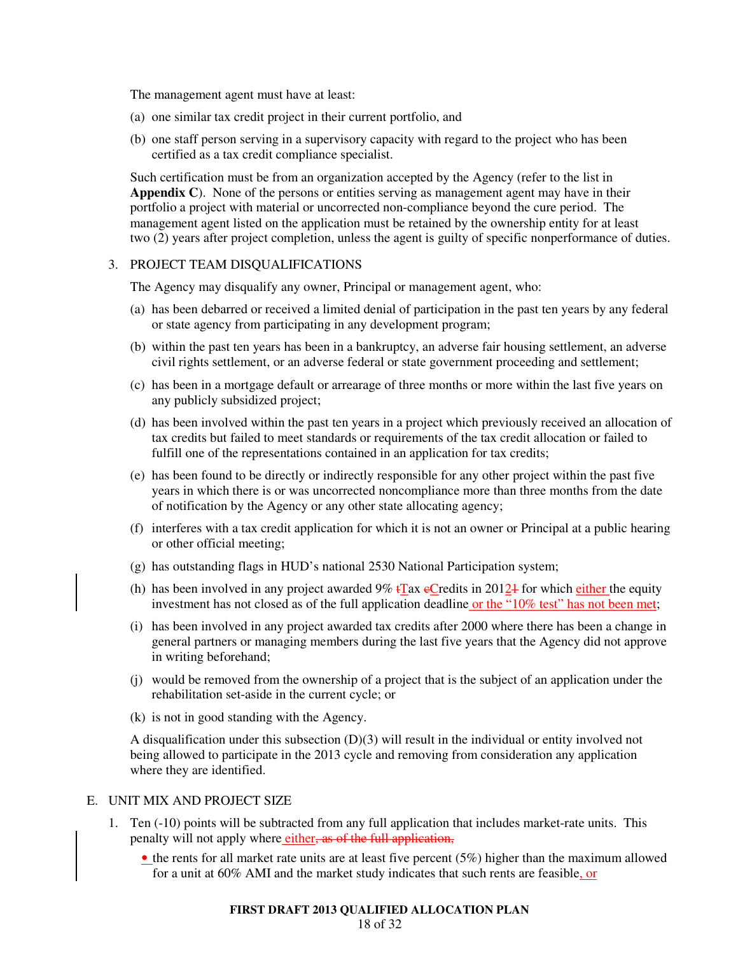The management agent must have at least:

- (a) one similar tax credit project in their current portfolio, and
- (b) one staff person serving in a supervisory capacity with regard to the project who has been certified as a tax credit compliance specialist.

Such certification must be from an organization accepted by the Agency (refer to the list in **Appendix C**). None of the persons or entities serving as management agent may have in their portfolio a project with material or uncorrected non-compliance beyond the cure period. The management agent listed on the application must be retained by the ownership entity for at least two (2) years after project completion, unless the agent is guilty of specific nonperformance of duties.

#### 3. PROJECT TEAM DISQUALIFICATIONS

The Agency may disqualify any owner, Principal or management agent, who:

- (a) has been debarred or received a limited denial of participation in the past ten years by any federal or state agency from participating in any development program;
- (b) within the past ten years has been in a bankruptcy, an adverse fair housing settlement, an adverse civil rights settlement, or an adverse federal or state government proceeding and settlement;
- (c) has been in a mortgage default or arrearage of three months or more within the last five years on any publicly subsidized project;
- (d) has been involved within the past ten years in a project which previously received an allocation of tax credits but failed to meet standards or requirements of the tax credit allocation or failed to fulfill one of the representations contained in an application for tax credits;
- (e) has been found to be directly or indirectly responsible for any other project within the past five years in which there is or was uncorrected noncompliance more than three months from the date of notification by the Agency or any other state allocating agency;
- (f) interferes with a tax credit application for which it is not an owner or Principal at a public hearing or other official meeting;
- (g) has outstanding flags in HUD's national 2530 National Participation system;
- (h) has been involved in any project awarded 9%  $\frac{1}{2}$  Tax  $\frac{1}{2}$  Credits in 2012 for which either the equity investment has not closed as of the full application deadline or the "10% test" has not been met;
- (i) has been involved in any project awarded tax credits after 2000 where there has been a change in general partners or managing members during the last five years that the Agency did not approve in writing beforehand;
- (j) would be removed from the ownership of a project that is the subject of an application under the rehabilitation set-aside in the current cycle; or
- (k) is not in good standing with the Agency.

A disqualification under this subsection (D)(3) will result in the individual or entity involved not being allowed to participate in the 2013 cycle and removing from consideration any application where they are identified.

#### E. UNIT MIX AND PROJECT SIZE

- 1. Ten (-10) points will be subtracted from any full application that includes market-rate units. This penalty will not apply where either, as of the full application,
	- the rents for all market rate units are at least five percent (5%) higher than the maximum allowed for a unit at 60% AMI and the market study indicates that such rents are feasible, or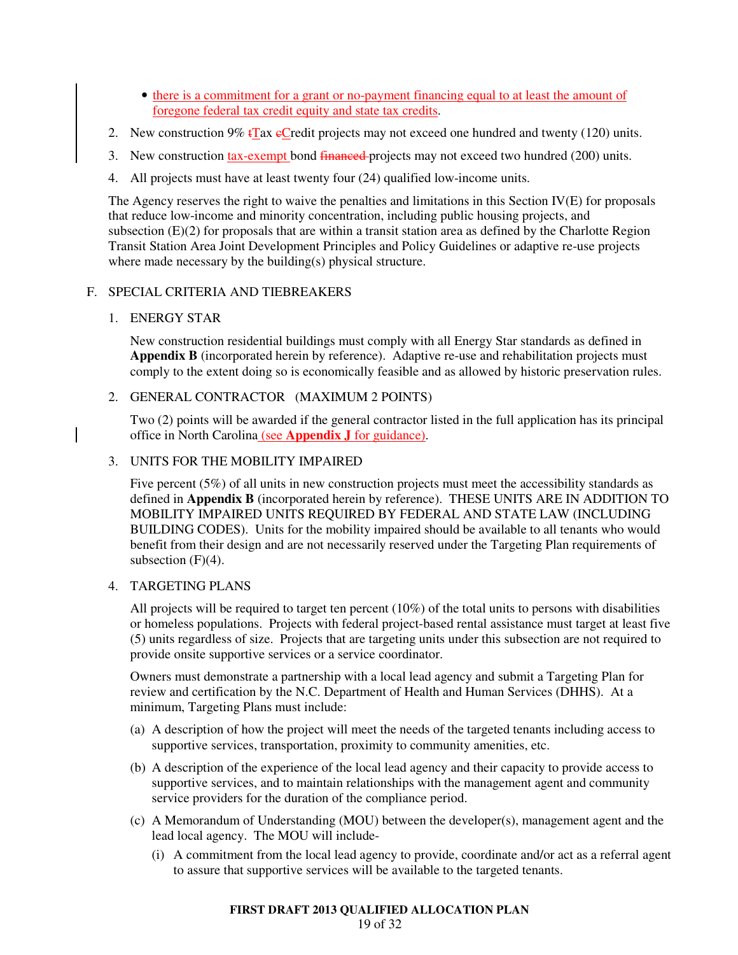- there is a commitment for a grant or no-payment financing equal to at least the amount of foregone federal tax credit equity and state tax credits.
- 2. New construction 9%  $\sqrt{\text{Ta}}$ x eCredit projects may not exceed one hundred and twenty (120) units.
- 3. New construction tax-exempt bond financed-projects may not exceed two hundred (200) units.
- 4. All projects must have at least twenty four (24) qualified low-income units.

The Agency reserves the right to waive the penalties and limitations in this Section IV(E) for proposals that reduce low-income and minority concentration, including public housing projects, and subsection (E)(2) for proposals that are within a transit station area as defined by the Charlotte Region Transit Station Area Joint Development Principles and Policy Guidelines or adaptive re-use projects where made necessary by the building(s) physical structure.

# F. SPECIAL CRITERIA AND TIEBREAKERS

1. ENERGY STAR

New construction residential buildings must comply with all Energy Star standards as defined in **Appendix B** (incorporated herein by reference). Adaptive re-use and rehabilitation projects must comply to the extent doing so is economically feasible and as allowed by historic preservation rules.

# 2. GENERAL CONTRACTOR (MAXIMUM 2 POINTS)

Two (2) points will be awarded if the general contractor listed in the full application has its principal office in North Carolina (see **Appendix J** for guidance).

# 3. UNITS FOR THE MOBILITY IMPAIRED

Five percent (5%) of all units in new construction projects must meet the accessibility standards as defined in **Appendix B** (incorporated herein by reference). THESE UNITS ARE IN ADDITION TO MOBILITY IMPAIRED UNITS REQUIRED BY FEDERAL AND STATE LAW (INCLUDING BUILDING CODES). Units for the mobility impaired should be available to all tenants who would benefit from their design and are not necessarily reserved under the Targeting Plan requirements of subsection  $(F)(4)$ .

# 4. TARGETING PLANS

All projects will be required to target ten percent (10%) of the total units to persons with disabilities or homeless populations. Projects with federal project-based rental assistance must target at least five (5) units regardless of size. Projects that are targeting units under this subsection are not required to provide onsite supportive services or a service coordinator.

Owners must demonstrate a partnership with a local lead agency and submit a Targeting Plan for review and certification by the N.C. Department of Health and Human Services (DHHS). At a minimum, Targeting Plans must include:

- (a) A description of how the project will meet the needs of the targeted tenants including access to supportive services, transportation, proximity to community amenities, etc.
- (b) A description of the experience of the local lead agency and their capacity to provide access to supportive services, and to maintain relationships with the management agent and community service providers for the duration of the compliance period.
- (c) A Memorandum of Understanding (MOU) between the developer(s), management agent and the lead local agency. The MOU will include-
	- (i) A commitment from the local lead agency to provide, coordinate and/or act as a referral agent to assure that supportive services will be available to the targeted tenants.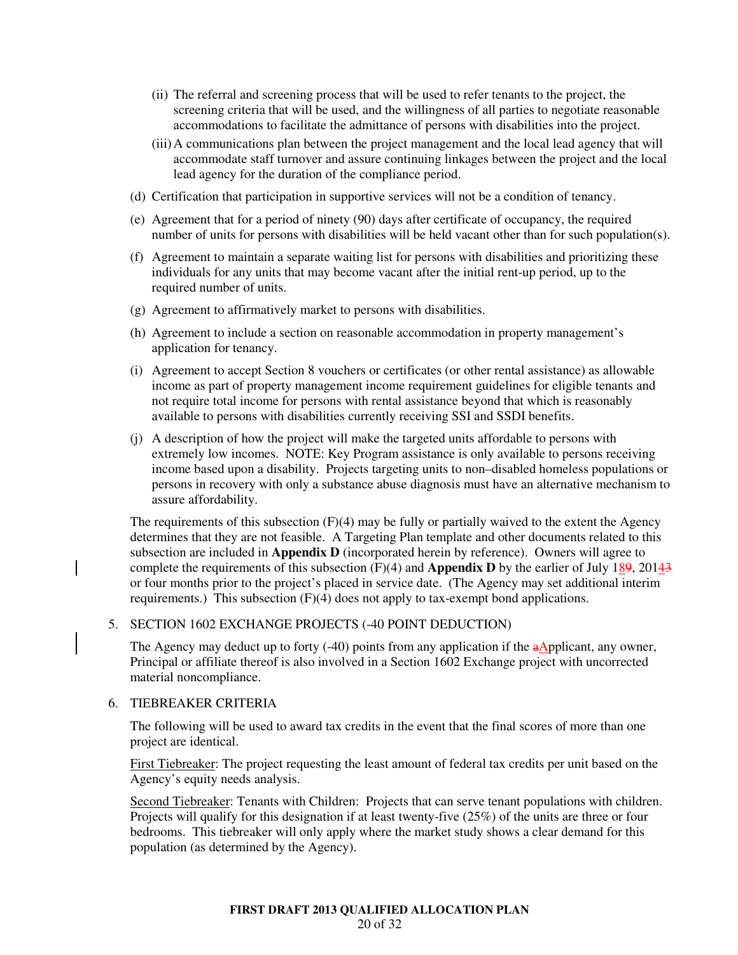- (ii) The referral and screening process that will be used to refer tenants to the project, the screening criteria that will be used, and the willingness of all parties to negotiate reasonable accommodations to facilitate the admittance of persons with disabilities into the project.
- (iii) A communications plan between the project management and the local lead agency that will accommodate staff turnover and assure continuing linkages between the project and the local lead agency for the duration of the compliance period.
- (d) Certification that participation in supportive services will not be a condition of tenancy.
- (e) Agreement that for a period of ninety (90) days after certificate of occupancy, the required number of units for persons with disabilities will be held vacant other than for such population(s).
- (f) Agreement to maintain a separate waiting list for persons with disabilities and prioritizing these individuals for any units that may become vacant after the initial rent-up period, up to the required number of units.
- (g) Agreement to affirmatively market to persons with disabilities.
- (h) Agreement to include a section on reasonable accommodation in property management's application for tenancy.
- (i) Agreement to accept Section 8 vouchers or certificates (or other rental assistance) as allowable income as part of property management income requirement guidelines for eligible tenants and not require total income for persons with rental assistance beyond that which is reasonably available to persons with disabilities currently receiving SSI and SSDI benefits.
- (j) A description of how the project will make the targeted units affordable to persons with extremely low incomes. NOTE: Key Program assistance is only available to persons receiving income based upon a disability. Projects targeting units to non–disabled homeless populations or persons in recovery with only a substance abuse diagnosis must have an alternative mechanism to assure affordability.

The requirements of this subsection  $(F)(4)$  may be fully or partially waived to the extent the Agency determines that they are not feasible. A Targeting Plan template and other documents related to this subsection are included in **Appendix D** (incorporated herein by reference). Owners will agree to complete the requirements of this subsection  $(F)(4)$  and **Appendix D** by the earlier of July  $189$ ,  $201\frac{43}{5}$ or four months prior to the project's placed in service date. (The Agency may set additional interim requirements.) This subsection  $(F)(4)$  does not apply to tax-exempt bond applications.

# 5. SECTION 1602 EXCHANGE PROJECTS (-40 POINT DEDUCTION)

The Agency may deduct up to forty (-40) points from any application if the  $a$ Applicant, any owner, Principal or affiliate thereof is also involved in a Section 1602 Exchange project with uncorrected material noncompliance.

#### 6. TIEBREAKER CRITERIA

The following will be used to award tax credits in the event that the final scores of more than one project are identical.

First Tiebreaker: The project requesting the least amount of federal tax credits per unit based on the Agency's equity needs analysis.

Second Tiebreaker: Tenants with Children: Projects that can serve tenant populations with children. Projects will qualify for this designation if at least twenty-five (25%) of the units are three or four bedrooms. This tiebreaker will only apply where the market study shows a clear demand for this population (as determined by the Agency).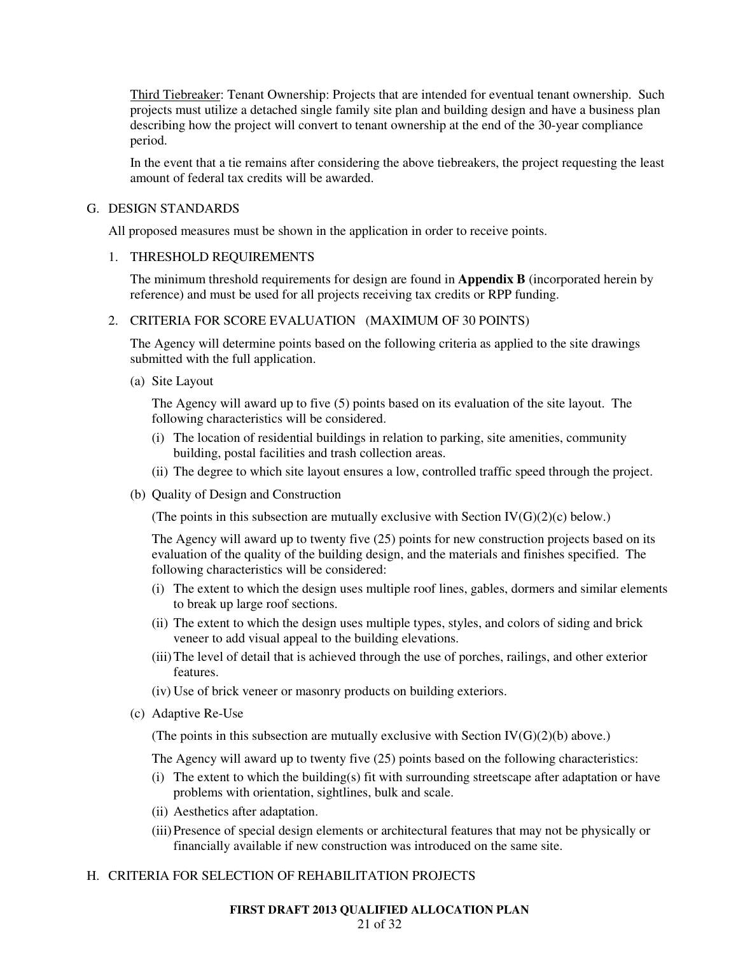Third Tiebreaker: Tenant Ownership: Projects that are intended for eventual tenant ownership. Such projects must utilize a detached single family site plan and building design and have a business plan describing how the project will convert to tenant ownership at the end of the 30-year compliance period.

In the event that a tie remains after considering the above tiebreakers, the project requesting the least amount of federal tax credits will be awarded.

#### G. DESIGN STANDARDS

All proposed measures must be shown in the application in order to receive points.

### 1. THRESHOLD REQUIREMENTS

The minimum threshold requirements for design are found in **Appendix B** (incorporated herein by reference) and must be used for all projects receiving tax credits or RPP funding.

### 2. CRITERIA FOR SCORE EVALUATION (MAXIMUM OF 30 POINTS)

The Agency will determine points based on the following criteria as applied to the site drawings submitted with the full application.

(a) Site Layout

The Agency will award up to five (5) points based on its evaluation of the site layout. The following characteristics will be considered.

- (i) The location of residential buildings in relation to parking, site amenities, community building, postal facilities and trash collection areas.
- (ii) The degree to which site layout ensures a low, controlled traffic speed through the project.
- (b) Quality of Design and Construction

(The points in this subsection are mutually exclusive with Section  $IV(G)(2)(c)$  below.)

The Agency will award up to twenty five (25) points for new construction projects based on its evaluation of the quality of the building design, and the materials and finishes specified. The following characteristics will be considered:

- (i) The extent to which the design uses multiple roof lines, gables, dormers and similar elements to break up large roof sections.
- (ii) The extent to which the design uses multiple types, styles, and colors of siding and brick veneer to add visual appeal to the building elevations.
- (iii) The level of detail that is achieved through the use of porches, railings, and other exterior features.
- (iv) Use of brick veneer or masonry products on building exteriors.
- (c) Adaptive Re-Use

(The points in this subsection are mutually exclusive with Section  $IV(G)(2)(b)$  above.)

The Agency will award up to twenty five (25) points based on the following characteristics:

- (i) The extent to which the building(s) fit with surrounding streetscape after adaptation or have problems with orientation, sightlines, bulk and scale.
- (ii) Aesthetics after adaptation.
- (iii) Presence of special design elements or architectural features that may not be physically or financially available if new construction was introduced on the same site.

# H. CRITERIA FOR SELECTION OF REHABILITATION PROJECTS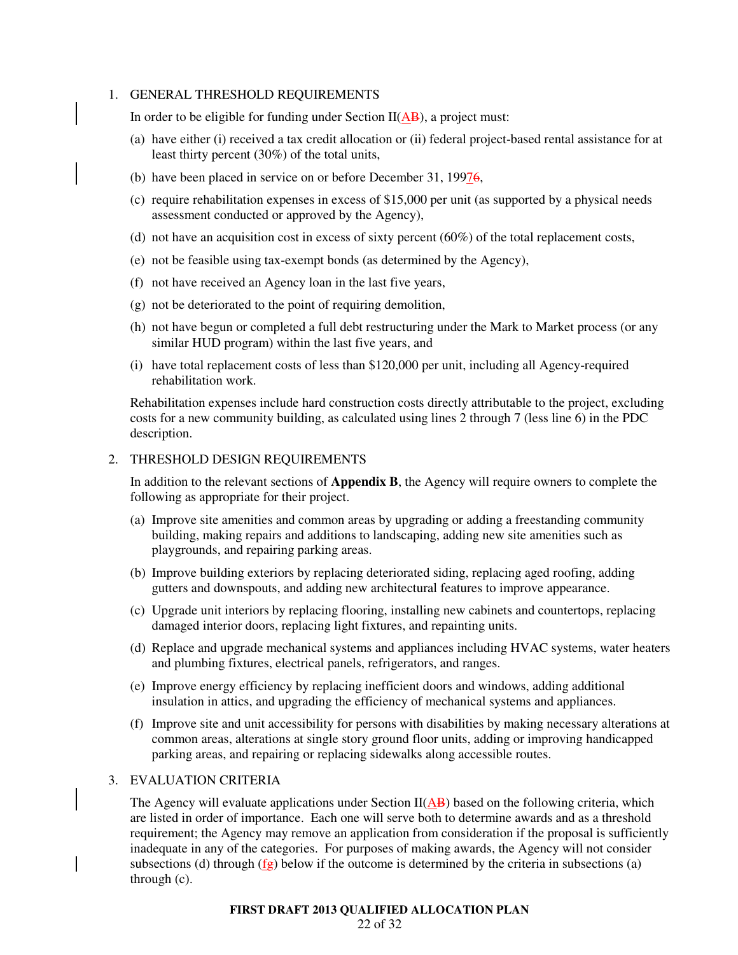#### 1. GENERAL THRESHOLD REQUIREMENTS

In order to be eligible for funding under Section  $II(\overline{AB})$ , a project must:

- (a) have either (i) received a tax credit allocation or (ii) federal project-based rental assistance for at least thirty percent (30%) of the total units,
- (b) have been placed in service on or before December 31, 19976,
- (c) require rehabilitation expenses in excess of \$15,000 per unit (as supported by a physical needs assessment conducted or approved by the Agency),
- (d) not have an acquisition cost in excess of sixty percent  $(60\%)$  of the total replacement costs,
- (e) not be feasible using tax-exempt bonds (as determined by the Agency),
- (f) not have received an Agency loan in the last five years,
- (g) not be deteriorated to the point of requiring demolition,
- (h) not have begun or completed a full debt restructuring under the Mark to Market process (or any similar HUD program) within the last five years, and
- (i) have total replacement costs of less than \$120,000 per unit, including all Agency-required rehabilitation work.

Rehabilitation expenses include hard construction costs directly attributable to the project, excluding costs for a new community building, as calculated using lines 2 through 7 (less line 6) in the PDC description.

#### 2. THRESHOLD DESIGN REQUIREMENTS

In addition to the relevant sections of **Appendix B**, the Agency will require owners to complete the following as appropriate for their project.

- (a) Improve site amenities and common areas by upgrading or adding a freestanding community building, making repairs and additions to landscaping, adding new site amenities such as playgrounds, and repairing parking areas.
- (b) Improve building exteriors by replacing deteriorated siding, replacing aged roofing, adding gutters and downspouts, and adding new architectural features to improve appearance.
- (c) Upgrade unit interiors by replacing flooring, installing new cabinets and countertops, replacing damaged interior doors, replacing light fixtures, and repainting units.
- (d) Replace and upgrade mechanical systems and appliances including HVAC systems, water heaters and plumbing fixtures, electrical panels, refrigerators, and ranges.
- (e) Improve energy efficiency by replacing inefficient doors and windows, adding additional insulation in attics, and upgrading the efficiency of mechanical systems and appliances.
- (f) Improve site and unit accessibility for persons with disabilities by making necessary alterations at common areas, alterations at single story ground floor units, adding or improving handicapped parking areas, and repairing or replacing sidewalks along accessible routes.

### 3. EVALUATION CRITERIA

The Agency will evaluate applications under Section  $II(AB)$  based on the following criteria, which are listed in order of importance. Each one will serve both to determine awards and as a threshold requirement; the Agency may remove an application from consideration if the proposal is sufficiently inadequate in any of the categories. For purposes of making awards, the Agency will not consider subsections (d) through  $(f_{\overline{g}})$  below if the outcome is determined by the criteria in subsections (a) through (c).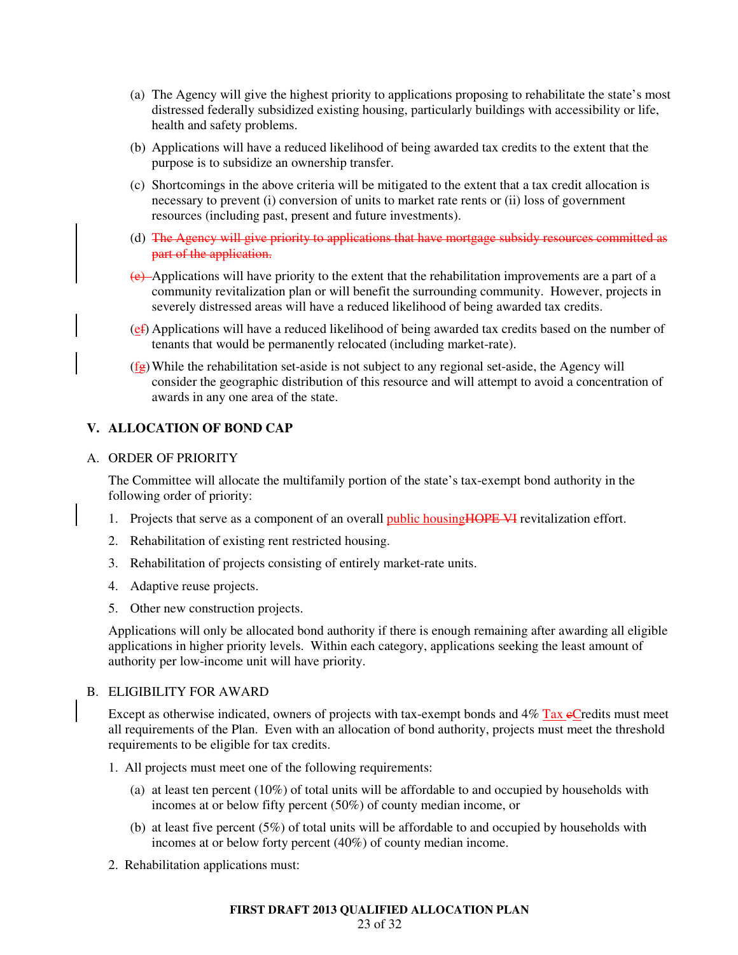- (a) The Agency will give the highest priority to applications proposing to rehabilitate the state's most distressed federally subsidized existing housing, particularly buildings with accessibility or life, health and safety problems.
- (b) Applications will have a reduced likelihood of being awarded tax credits to the extent that the purpose is to subsidize an ownership transfer.
- (c) Shortcomings in the above criteria will be mitigated to the extent that a tax credit allocation is necessary to prevent (i) conversion of units to market rate rents or (ii) loss of government resources (including past, present and future investments).
- (d) The Agency will give priority to applications that have mortgage subsidy resources committed as part of the application.
- $(e)$ -Applications will have priority to the extent that the rehabilitation improvements are a part of a community revitalization plan or will benefit the surrounding community. However, projects in severely distressed areas will have a reduced likelihood of being awarded tax credits.
- (ef) Applications will have a reduced likelihood of being awarded tax credits based on the number of tenants that would be permanently relocated (including market-rate).
- $(f<sub>g</sub>)$  While the rehabilitation set-aside is not subject to any regional set-aside, the Agency will consider the geographic distribution of this resource and will attempt to avoid a concentration of awards in any one area of the state.

# **V. ALLOCATION OF BOND CAP**

### A. ORDER OF PRIORITY

The Committee will allocate the multifamily portion of the state's tax-exempt bond authority in the following order of priority:

- 1. Projects that serve as a component of an overall public housing **HOPE VI** revitalization effort.
- 2. Rehabilitation of existing rent restricted housing.
- 3. Rehabilitation of projects consisting of entirely market-rate units.
- 4. Adaptive reuse projects.
- 5. Other new construction projects.

Applications will only be allocated bond authority if there is enough remaining after awarding all eligible applications in higher priority levels. Within each category, applications seeking the least amount of authority per low-income unit will have priority.

### B. ELIGIBILITY FOR AWARD

Except as otherwise indicated, owners of projects with tax-exempt bonds and  $4\%$  Tax eCredits must meet all requirements of the Plan. Even with an allocation of bond authority, projects must meet the threshold requirements to be eligible for tax credits.

- 1. All projects must meet one of the following requirements:
	- (a) at least ten percent (10%) of total units will be affordable to and occupied by households with incomes at or below fifty percent (50%) of county median income, or
	- (b) at least five percent (5%) of total units will be affordable to and occupied by households with incomes at or below forty percent (40%) of county median income.
- 2. Rehabilitation applications must: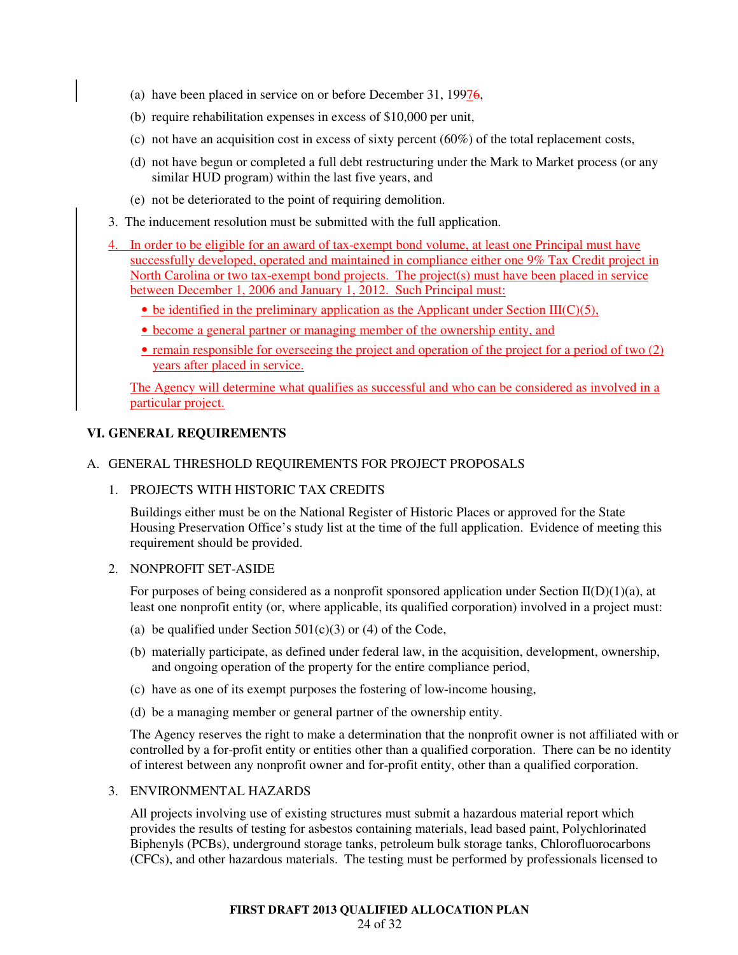- (a) have been placed in service on or before December 31, 19976,
- (b) require rehabilitation expenses in excess of \$10,000 per unit,
- (c) not have an acquisition cost in excess of sixty percent  $(60%)$  of the total replacement costs,
- (d) not have begun or completed a full debt restructuring under the Mark to Market process (or any similar HUD program) within the last five years, and
- (e) not be deteriorated to the point of requiring demolition.
- 3. The inducement resolution must be submitted with the full application.
- 4. In order to be eligible for an award of tax-exempt bond volume, at least one Principal must have successfully developed, operated and maintained in compliance either one 9% Tax Credit project in North Carolina or two tax-exempt bond projects. The project(s) must have been placed in service between December 1, 2006 and January 1, 2012. Such Principal must:
	- $\bullet$  be identified in the preliminary application as the Applicant under Section III(C)(5),
	- become a general partner or managing member of the ownership entity, and
	- remain responsible for overseeing the project and operation of the project for a period of two (2) years after placed in service.

The Agency will determine what qualifies as successful and who can be considered as involved in a particular project.

### **VI. GENERAL REQUIREMENTS**

### A. GENERAL THRESHOLD REQUIREMENTS FOR PROJECT PROPOSALS

1. PROJECTS WITH HISTORIC TAX CREDITS

Buildings either must be on the National Register of Historic Places or approved for the State Housing Preservation Office's study list at the time of the full application. Evidence of meeting this requirement should be provided.

#### 2. NONPROFIT SET-ASIDE

For purposes of being considered as a nonprofit sponsored application under Section  $II(D)(1)(a)$ , at least one nonprofit entity (or, where applicable, its qualified corporation) involved in a project must:

- (a) be qualified under Section  $501(c)(3)$  or (4) of the Code,
- (b) materially participate, as defined under federal law, in the acquisition, development, ownership, and ongoing operation of the property for the entire compliance period,
- (c) have as one of its exempt purposes the fostering of low-income housing,
- (d) be a managing member or general partner of the ownership entity.

The Agency reserves the right to make a determination that the nonprofit owner is not affiliated with or controlled by a for-profit entity or entities other than a qualified corporation. There can be no identity of interest between any nonprofit owner and for-profit entity, other than a qualified corporation.

#### 3. ENVIRONMENTAL HAZARDS

All projects involving use of existing structures must submit a hazardous material report which provides the results of testing for asbestos containing materials, lead based paint, Polychlorinated Biphenyls (PCBs), underground storage tanks, petroleum bulk storage tanks, Chlorofluorocarbons (CFCs), and other hazardous materials. The testing must be performed by professionals licensed to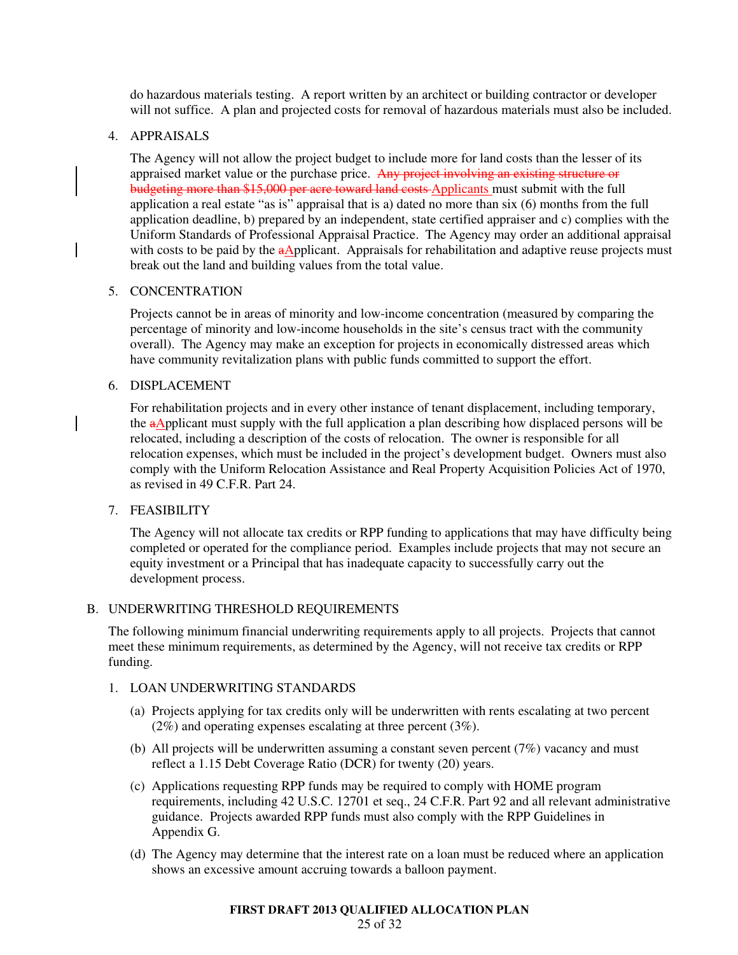do hazardous materials testing. A report written by an architect or building contractor or developer will not suffice. A plan and projected costs for removal of hazardous materials must also be included.

### 4. APPRAISALS

The Agency will not allow the project budget to include more for land costs than the lesser of its appraised market value or the purchase price. Any project involving an existing structure or budgeting more than \$15,000 per acre toward land costs Applicants must submit with the full application a real estate "as is" appraisal that is a) dated no more than six (6) months from the full application deadline, b) prepared by an independent, state certified appraiser and c) complies with the Uniform Standards of Professional Appraisal Practice. The Agency may order an additional appraisal with costs to be paid by the  $a\Delta$ pplicant. Appraisals for rehabilitation and adaptive reuse projects must break out the land and building values from the total value.

### 5. CONCENTRATION

Projects cannot be in areas of minority and low-income concentration (measured by comparing the percentage of minority and low-income households in the site's census tract with the community overall). The Agency may make an exception for projects in economically distressed areas which have community revitalization plans with public funds committed to support the effort.

### 6. DISPLACEMENT

For rehabilitation projects and in every other instance of tenant displacement, including temporary, the  $a\Delta$ pplicant must supply with the full application a plan describing how displaced persons will be relocated, including a description of the costs of relocation. The owner is responsible for all relocation expenses, which must be included in the project's development budget. Owners must also comply with the Uniform Relocation Assistance and Real Property Acquisition Policies Act of 1970, as revised in 49 C.F.R. Part 24.

# 7. FEASIBILITY

The Agency will not allocate tax credits or RPP funding to applications that may have difficulty being completed or operated for the compliance period. Examples include projects that may not secure an equity investment or a Principal that has inadequate capacity to successfully carry out the development process.

#### B. UNDERWRITING THRESHOLD REQUIREMENTS

The following minimum financial underwriting requirements apply to all projects. Projects that cannot meet these minimum requirements, as determined by the Agency, will not receive tax credits or RPP funding.

#### 1. LOAN UNDERWRITING STANDARDS

- (a) Projects applying for tax credits only will be underwritten with rents escalating at two percent (2%) and operating expenses escalating at three percent (3%).
- (b) All projects will be underwritten assuming a constant seven percent  $(7%)$  vacancy and must reflect a 1.15 Debt Coverage Ratio (DCR) for twenty (20) years.
- (c) Applications requesting RPP funds may be required to comply with HOME program requirements, including 42 U.S.C. 12701 et seq., 24 C.F.R. Part 92 and all relevant administrative guidance. Projects awarded RPP funds must also comply with the RPP Guidelines in Appendix G.
- (d) The Agency may determine that the interest rate on a loan must be reduced where an application shows an excessive amount accruing towards a balloon payment.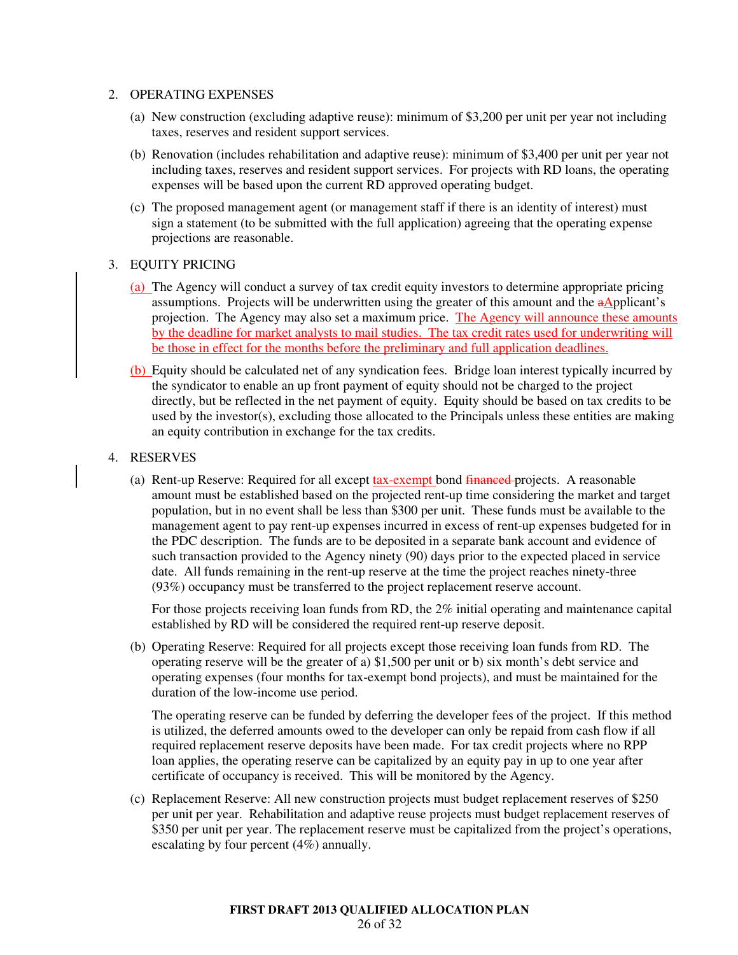### 2. OPERATING EXPENSES

- (a) New construction (excluding adaptive reuse): minimum of \$3,200 per unit per year not including taxes, reserves and resident support services.
- (b) Renovation (includes rehabilitation and adaptive reuse): minimum of \$3,400 per unit per year not including taxes, reserves and resident support services. For projects with RD loans, the operating expenses will be based upon the current RD approved operating budget.
- (c) The proposed management agent (or management staff if there is an identity of interest) must sign a statement (to be submitted with the full application) agreeing that the operating expense projections are reasonable.

### 3. EQUITY PRICING

- (a) The Agency will conduct a survey of tax credit equity investors to determine appropriate pricing assumptions. Projects will be underwritten using the greater of this amount and the aApplicant's projection. The Agency may also set a maximum price. The Agency will announce these amounts by the deadline for market analysts to mail studies. The tax credit rates used for underwriting will be those in effect for the months before the preliminary and full application deadlines.
- (b) Equity should be calculated net of any syndication fees. Bridge loan interest typically incurred by the syndicator to enable an up front payment of equity should not be charged to the project directly, but be reflected in the net payment of equity. Equity should be based on tax credits to be used by the investor(s), excluding those allocated to the Principals unless these entities are making an equity contribution in exchange for the tax credits.

### 4. RESERVES

(a) Rent-up Reserve: Required for all except tax-exempt bond financed projects. A reasonable amount must be established based on the projected rent-up time considering the market and target population, but in no event shall be less than \$300 per unit. These funds must be available to the management agent to pay rent-up expenses incurred in excess of rent-up expenses budgeted for in the PDC description. The funds are to be deposited in a separate bank account and evidence of such transaction provided to the Agency ninety (90) days prior to the expected placed in service date. All funds remaining in the rent-up reserve at the time the project reaches ninety-three (93%) occupancy must be transferred to the project replacement reserve account.

For those projects receiving loan funds from RD, the 2% initial operating and maintenance capital established by RD will be considered the required rent-up reserve deposit.

(b) Operating Reserve: Required for all projects except those receiving loan funds from RD. The operating reserve will be the greater of a) \$1,500 per unit or b) six month's debt service and operating expenses (four months for tax-exempt bond projects), and must be maintained for the duration of the low-income use period.

The operating reserve can be funded by deferring the developer fees of the project. If this method is utilized, the deferred amounts owed to the developer can only be repaid from cash flow if all required replacement reserve deposits have been made. For tax credit projects where no RPP loan applies, the operating reserve can be capitalized by an equity pay in up to one year after certificate of occupancy is received. This will be monitored by the Agency.

(c) Replacement Reserve: All new construction projects must budget replacement reserves of \$250 per unit per year. Rehabilitation and adaptive reuse projects must budget replacement reserves of \$350 per unit per year. The replacement reserve must be capitalized from the project's operations, escalating by four percent (4%) annually.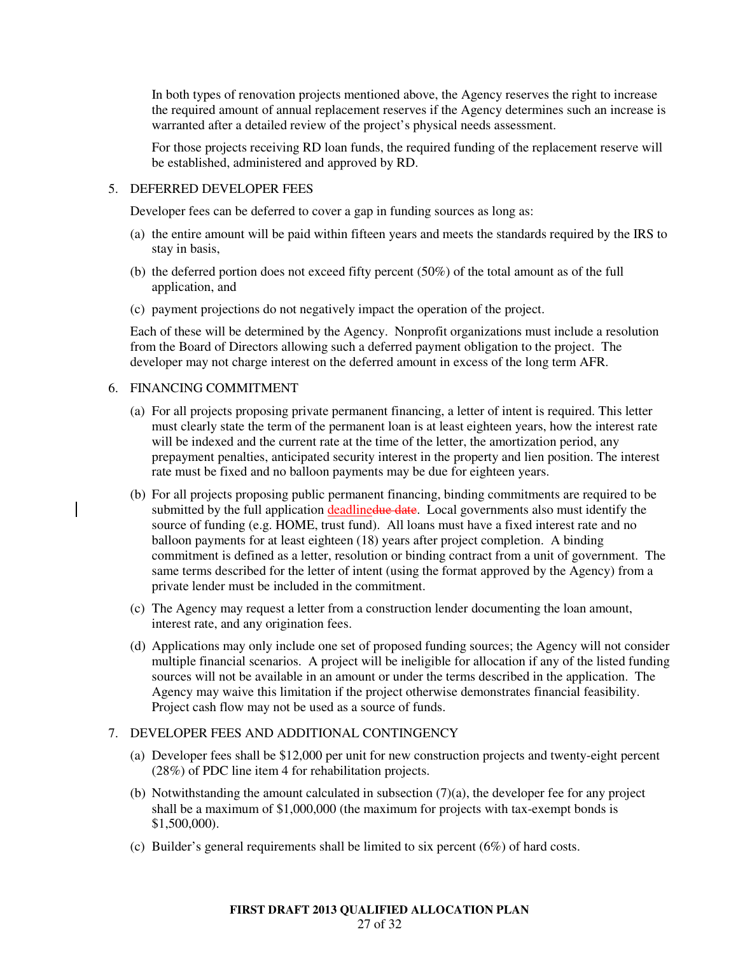In both types of renovation projects mentioned above, the Agency reserves the right to increase the required amount of annual replacement reserves if the Agency determines such an increase is warranted after a detailed review of the project's physical needs assessment.

For those projects receiving RD loan funds, the required funding of the replacement reserve will be established, administered and approved by RD.

#### 5. DEFERRED DEVELOPER FEES

Developer fees can be deferred to cover a gap in funding sources as long as:

- (a) the entire amount will be paid within fifteen years and meets the standards required by the IRS to stay in basis,
- (b) the deferred portion does not exceed fifty percent (50%) of the total amount as of the full application, and
- (c) payment projections do not negatively impact the operation of the project.

Each of these will be determined by the Agency. Nonprofit organizations must include a resolution from the Board of Directors allowing such a deferred payment obligation to the project. The developer may not charge interest on the deferred amount in excess of the long term AFR.

# 6. FINANCING COMMITMENT

- (a) For all projects proposing private permanent financing, a letter of intent is required. This letter must clearly state the term of the permanent loan is at least eighteen years, how the interest rate will be indexed and the current rate at the time of the letter, the amortization period, any prepayment penalties, anticipated security interest in the property and lien position. The interest rate must be fixed and no balloon payments may be due for eighteen years.
- (b) For all projects proposing public permanent financing, binding commitments are required to be submitted by the full application deadlinedue date. Local governments also must identify the source of funding (e.g. HOME, trust fund). All loans must have a fixed interest rate and no balloon payments for at least eighteen (18) years after project completion. A binding commitment is defined as a letter, resolution or binding contract from a unit of government. The same terms described for the letter of intent (using the format approved by the Agency) from a private lender must be included in the commitment.
- (c) The Agency may request a letter from a construction lender documenting the loan amount, interest rate, and any origination fees.
- (d) Applications may only include one set of proposed funding sources; the Agency will not consider multiple financial scenarios. A project will be ineligible for allocation if any of the listed funding sources will not be available in an amount or under the terms described in the application. The Agency may waive this limitation if the project otherwise demonstrates financial feasibility. Project cash flow may not be used as a source of funds.

#### 7. DEVELOPER FEES AND ADDITIONAL CONTINGENCY

- (a) Developer fees shall be \$12,000 per unit for new construction projects and twenty-eight percent (28%) of PDC line item 4 for rehabilitation projects.
- (b) Notwithstanding the amount calculated in subsection  $(7)(a)$ , the developer fee for any project shall be a maximum of \$1,000,000 (the maximum for projects with tax-exempt bonds is \$1,500,000).
- (c) Builder's general requirements shall be limited to six percent (6%) of hard costs.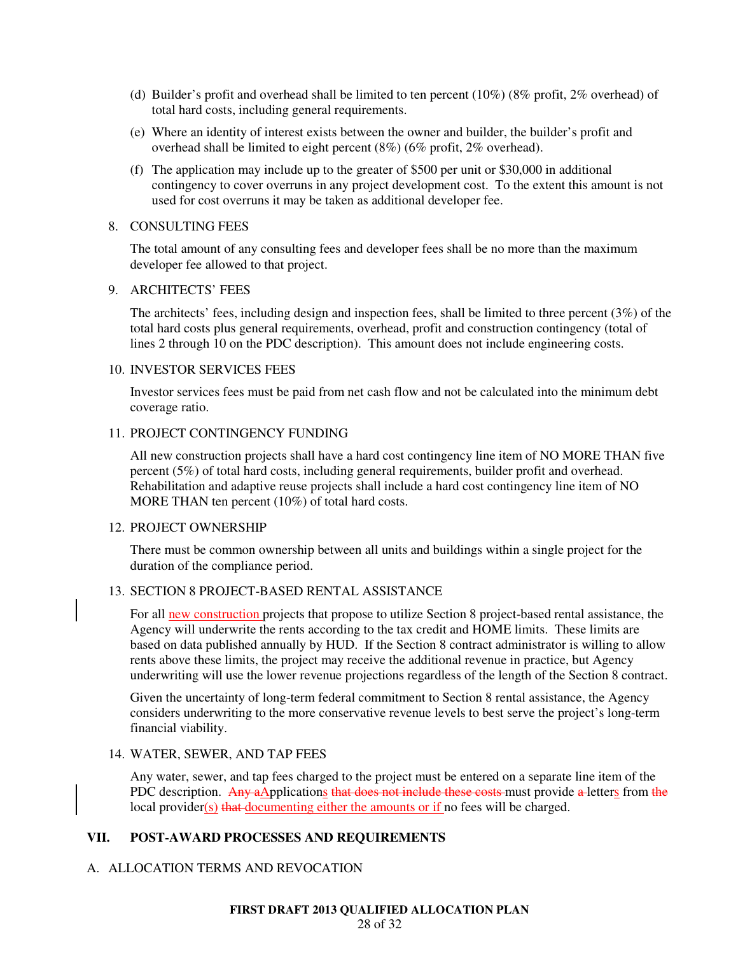- (d) Builder's profit and overhead shall be limited to ten percent (10%) (8% profit, 2% overhead) of total hard costs, including general requirements.
- (e) Where an identity of interest exists between the owner and builder, the builder's profit and overhead shall be limited to eight percent (8%) (6% profit, 2% overhead).
- (f) The application may include up to the greater of \$500 per unit or \$30,000 in additional contingency to cover overruns in any project development cost. To the extent this amount is not used for cost overruns it may be taken as additional developer fee.

#### 8. CONSULTING FEES

The total amount of any consulting fees and developer fees shall be no more than the maximum developer fee allowed to that project.

#### 9. ARCHITECTS' FEES

The architects' fees, including design and inspection fees, shall be limited to three percent (3%) of the total hard costs plus general requirements, overhead, profit and construction contingency (total of lines 2 through 10 on the PDC description). This amount does not include engineering costs.

#### 10. INVESTOR SERVICES FEES

Investor services fees must be paid from net cash flow and not be calculated into the minimum debt coverage ratio.

#### 11. PROJECT CONTINGENCY FUNDING

All new construction projects shall have a hard cost contingency line item of NO MORE THAN five percent (5%) of total hard costs, including general requirements, builder profit and overhead. Rehabilitation and adaptive reuse projects shall include a hard cost contingency line item of NO MORE THAN ten percent (10%) of total hard costs.

#### 12. PROJECT OWNERSHIP

There must be common ownership between all units and buildings within a single project for the duration of the compliance period.

### 13. SECTION 8 PROJECT-BASED RENTAL ASSISTANCE

For all new construction projects that propose to utilize Section 8 project-based rental assistance, the Agency will underwrite the rents according to the tax credit and HOME limits. These limits are based on data published annually by HUD. If the Section 8 contract administrator is willing to allow rents above these limits, the project may receive the additional revenue in practice, but Agency underwriting will use the lower revenue projections regardless of the length of the Section 8 contract.

Given the uncertainty of long-term federal commitment to Section 8 rental assistance, the Agency considers underwriting to the more conservative revenue levels to best serve the project's long-term financial viability.

#### 14. WATER, SEWER, AND TAP FEES

Any water, sewer, and tap fees charged to the project must be entered on a separate line item of the PDC description. Any aApplications that does not include these costs must provide a letters from the local provider(s) that documenting either the amounts or if no fees will be charged.

#### **VII. POST-AWARD PROCESSES AND REQUIREMENTS**

#### A. ALLOCATION TERMS AND REVOCATION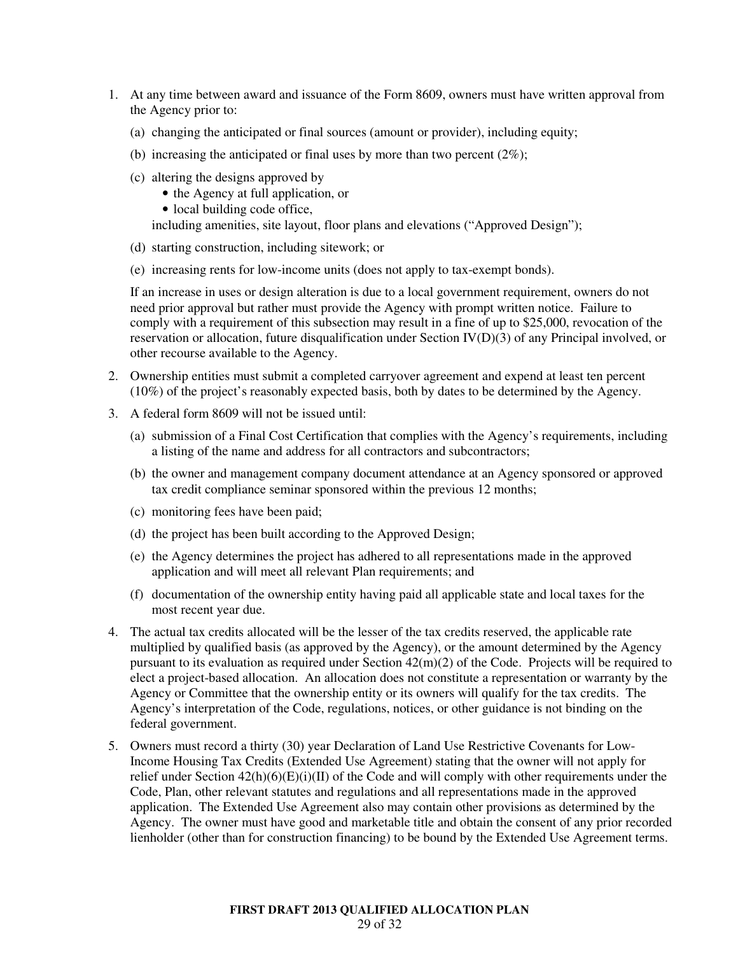- 1. At any time between award and issuance of the Form 8609, owners must have written approval from the Agency prior to:
	- (a) changing the anticipated or final sources (amount or provider), including equity;
	- (b) increasing the anticipated or final uses by more than two percent  $(2\%)$ ;
	- (c) altering the designs approved by
		- the Agency at full application, or
		- local building code office,

including amenities, site layout, floor plans and elevations ("Approved Design");

- (d) starting construction, including sitework; or
- (e) increasing rents for low-income units (does not apply to tax-exempt bonds).

If an increase in uses or design alteration is due to a local government requirement, owners do not need prior approval but rather must provide the Agency with prompt written notice. Failure to comply with a requirement of this subsection may result in a fine of up to \$25,000, revocation of the reservation or allocation, future disqualification under Section IV(D)(3) of any Principal involved, or other recourse available to the Agency.

- 2. Ownership entities must submit a completed carryover agreement and expend at least ten percent (10%) of the project's reasonably expected basis, both by dates to be determined by the Agency.
- 3. A federal form 8609 will not be issued until:
	- (a) submission of a Final Cost Certification that complies with the Agency's requirements, including a listing of the name and address for all contractors and subcontractors;
	- (b) the owner and management company document attendance at an Agency sponsored or approved tax credit compliance seminar sponsored within the previous 12 months;
	- (c) monitoring fees have been paid;
	- (d) the project has been built according to the Approved Design;
	- (e) the Agency determines the project has adhered to all representations made in the approved application and will meet all relevant Plan requirements; and
	- (f) documentation of the ownership entity having paid all applicable state and local taxes for the most recent year due.
- 4. The actual tax credits allocated will be the lesser of the tax credits reserved, the applicable rate multiplied by qualified basis (as approved by the Agency), or the amount determined by the Agency pursuant to its evaluation as required under Section 42(m)(2) of the Code. Projects will be required to elect a project-based allocation. An allocation does not constitute a representation or warranty by the Agency or Committee that the ownership entity or its owners will qualify for the tax credits. The Agency's interpretation of the Code, regulations, notices, or other guidance is not binding on the federal government.
- 5. Owners must record a thirty (30) year Declaration of Land Use Restrictive Covenants for Low-Income Housing Tax Credits (Extended Use Agreement) stating that the owner will not apply for relief under Section 42(h)(6)(E)(i)(II) of the Code and will comply with other requirements under the Code, Plan, other relevant statutes and regulations and all representations made in the approved application. The Extended Use Agreement also may contain other provisions as determined by the Agency. The owner must have good and marketable title and obtain the consent of any prior recorded lienholder (other than for construction financing) to be bound by the Extended Use Agreement terms.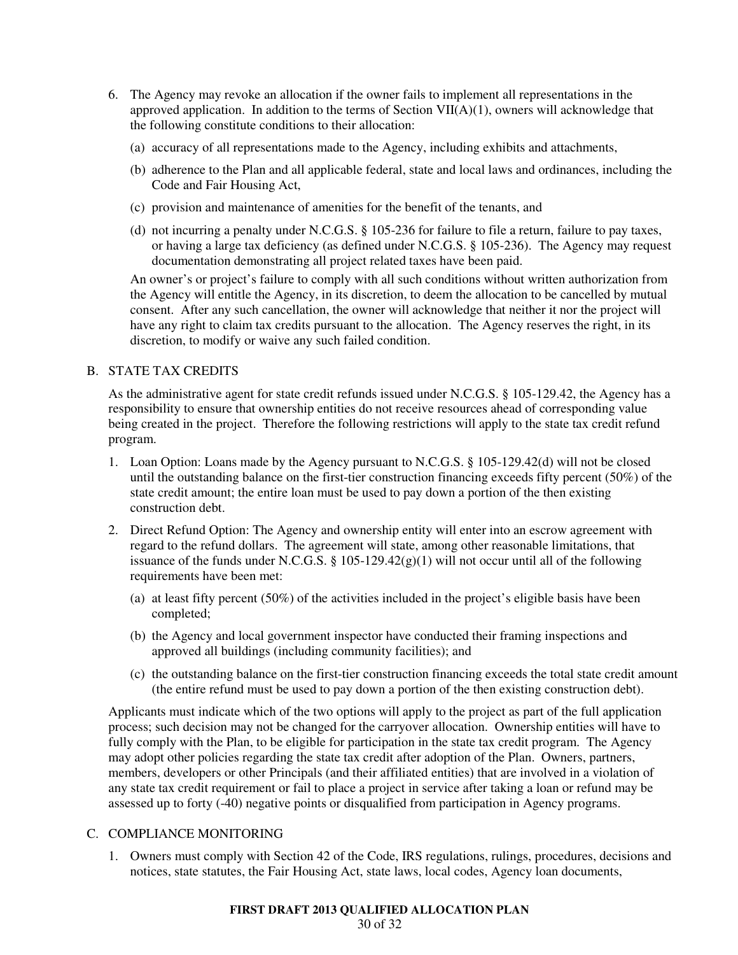- 6. The Agency may revoke an allocation if the owner fails to implement all representations in the approved application. In addition to the terms of Section  $VII(A)(1)$ , owners will acknowledge that the following constitute conditions to their allocation:
	- (a) accuracy of all representations made to the Agency, including exhibits and attachments,
	- (b) adherence to the Plan and all applicable federal, state and local laws and ordinances, including the Code and Fair Housing Act,
	- (c) provision and maintenance of amenities for the benefit of the tenants, and
	- (d) not incurring a penalty under N.C.G.S. § 105-236 for failure to file a return, failure to pay taxes, or having a large tax deficiency (as defined under N.C.G.S. § 105-236). The Agency may request documentation demonstrating all project related taxes have been paid.

An owner's or project's failure to comply with all such conditions without written authorization from the Agency will entitle the Agency, in its discretion, to deem the allocation to be cancelled by mutual consent. After any such cancellation, the owner will acknowledge that neither it nor the project will have any right to claim tax credits pursuant to the allocation. The Agency reserves the right, in its discretion, to modify or waive any such failed condition.

# B. STATE TAX CREDITS

As the administrative agent for state credit refunds issued under N.C.G.S. § 105-129.42, the Agency has a responsibility to ensure that ownership entities do not receive resources ahead of corresponding value being created in the project. Therefore the following restrictions will apply to the state tax credit refund program.

- 1. Loan Option: Loans made by the Agency pursuant to N.C.G.S. § 105-129.42(d) will not be closed until the outstanding balance on the first-tier construction financing exceeds fifty percent (50%) of the state credit amount; the entire loan must be used to pay down a portion of the then existing construction debt.
- 2. Direct Refund Option: The Agency and ownership entity will enter into an escrow agreement with regard to the refund dollars. The agreement will state, among other reasonable limitations, that issuance of the funds under N.C.G.S.  $\S$  105-129.42(g)(1) will not occur until all of the following requirements have been met:
	- (a) at least fifty percent (50%) of the activities included in the project's eligible basis have been completed;
	- (b) the Agency and local government inspector have conducted their framing inspections and approved all buildings (including community facilities); and
	- (c) the outstanding balance on the first-tier construction financing exceeds the total state credit amount (the entire refund must be used to pay down a portion of the then existing construction debt).

Applicants must indicate which of the two options will apply to the project as part of the full application process; such decision may not be changed for the carryover allocation. Ownership entities will have to fully comply with the Plan, to be eligible for participation in the state tax credit program. The Agency may adopt other policies regarding the state tax credit after adoption of the Plan. Owners, partners, members, developers or other Principals (and their affiliated entities) that are involved in a violation of any state tax credit requirement or fail to place a project in service after taking a loan or refund may be assessed up to forty (-40) negative points or disqualified from participation in Agency programs.

# C. COMPLIANCE MONITORING

1. Owners must comply with Section 42 of the Code, IRS regulations, rulings, procedures, decisions and notices, state statutes, the Fair Housing Act, state laws, local codes, Agency loan documents,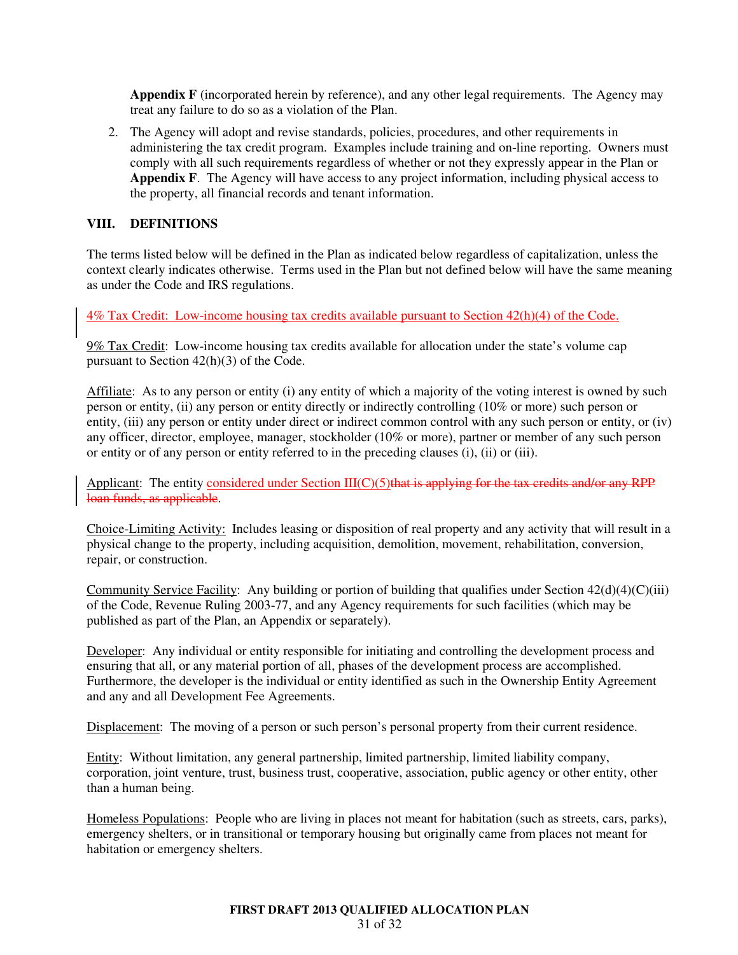**Appendix F** (incorporated herein by reference), and any other legal requirements. The Agency may treat any failure to do so as a violation of the Plan.

2. The Agency will adopt and revise standards, policies, procedures, and other requirements in administering the tax credit program. Examples include training and on-line reporting. Owners must comply with all such requirements regardless of whether or not they expressly appear in the Plan or **Appendix F**. The Agency will have access to any project information, including physical access to the property, all financial records and tenant information.

# **VIII. DEFINITIONS**

The terms listed below will be defined in the Plan as indicated below regardless of capitalization, unless the context clearly indicates otherwise. Terms used in the Plan but not defined below will have the same meaning as under the Code and IRS regulations.

4% Tax Credit: Low-income housing tax credits available pursuant to Section 42(h)(4) of the Code.

9% Tax Credit: Low-income housing tax credits available for allocation under the state's volume cap pursuant to Section 42(h)(3) of the Code.

Affiliate: As to any person or entity (i) any entity of which a majority of the voting interest is owned by such person or entity, (ii) any person or entity directly or indirectly controlling (10% or more) such person or entity, (iii) any person or entity under direct or indirect common control with any such person or entity, or (iv) any officer, director, employee, manager, stockholder (10% or more), partner or member of any such person or entity or of any person or entity referred to in the preceding clauses (i), (ii) or (iii).

Applicant: The entity considered under Section  $III(C)(5)$ that is applying for the tax credits and/or any RPP loan funds, as applicable.

Choice-Limiting Activity: Includes leasing or disposition of real property and any activity that will result in a physical change to the property, including acquisition, demolition, movement, rehabilitation, conversion, repair, or construction.

Community Service Facility: Any building or portion of building that qualifies under Section  $42(d)(4)(C)(iii)$ of the Code, Revenue Ruling 2003-77, and any Agency requirements for such facilities (which may be published as part of the Plan, an Appendix or separately).

Developer: Any individual or entity responsible for initiating and controlling the development process and ensuring that all, or any material portion of all, phases of the development process are accomplished. Furthermore, the developer is the individual or entity identified as such in the Ownership Entity Agreement and any and all Development Fee Agreements.

Displacement: The moving of a person or such person's personal property from their current residence.

Entity: Without limitation, any general partnership, limited partnership, limited liability company, corporation, joint venture, trust, business trust, cooperative, association, public agency or other entity, other than a human being.

Homeless Populations: People who are living in places not meant for habitation (such as streets, cars, parks), emergency shelters, or in transitional or temporary housing but originally came from places not meant for habitation or emergency shelters.